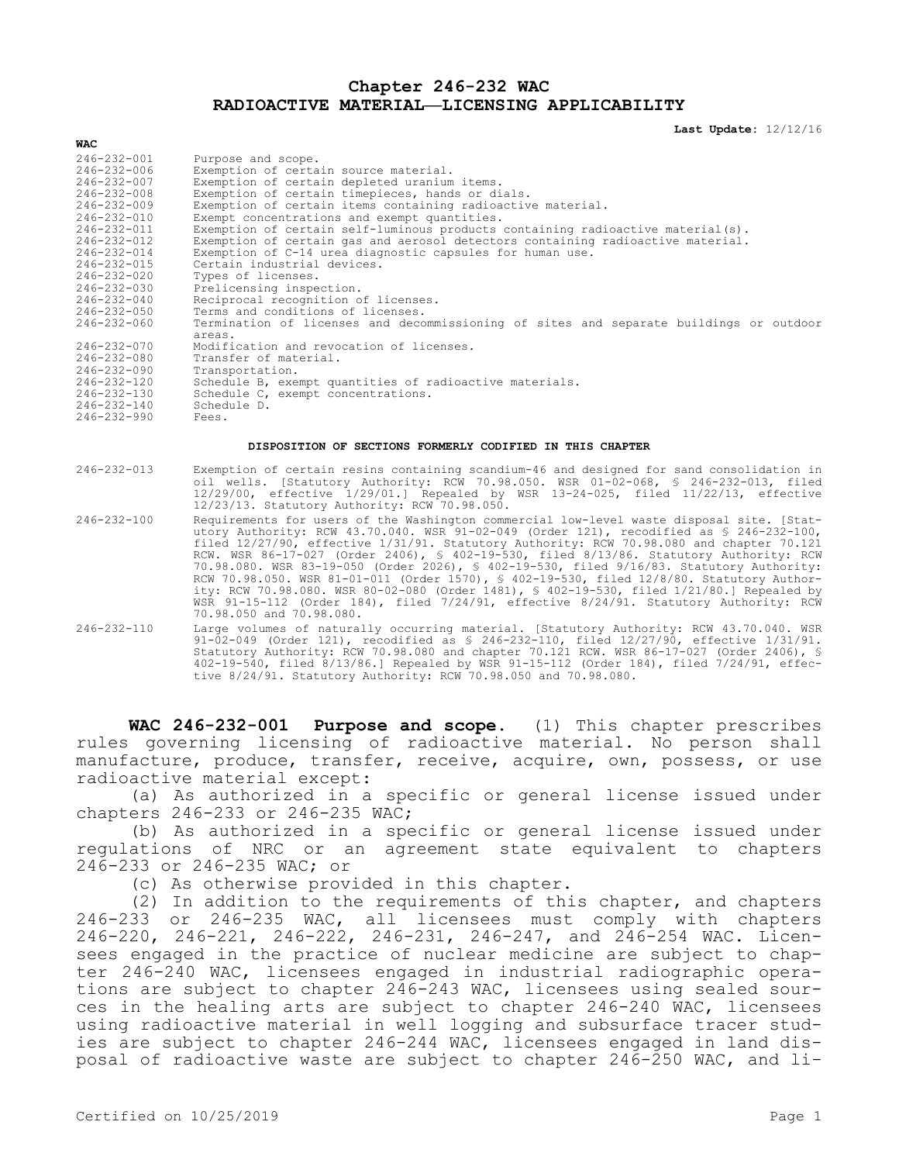## **Chapter 246-232 WAC RADIOACTIVE MATERIAL—LICENSING APPLICABILITY**

**Last Update:** 12/12/16

| $246 - 232 - 001$ | Purpose and scope.                                                                             |
|-------------------|------------------------------------------------------------------------------------------------|
| 246-232-006       | Exemption of certain source material.                                                          |
| 246-232-007       | Exemption of certain depleted uranium items.                                                   |
| $246 - 232 - 008$ | Exemption of certain timepieces, hands or dials.                                               |
| $246 - 232 - 009$ | Exemption of certain items containing radioactive material.                                    |
| $246 - 232 - 010$ | Exempt concentrations and exempt quantities.                                                   |
| $246 - 232 - 011$ | Exemption of certain self-luminous products containing radioactive material(s).                |
| $246 - 232 - 012$ | Exemption of certain gas and aerosol detectors containing radioactive material.                |
| $246 - 232 - 014$ | Exemption of C-14 urea diagnostic capsules for human use.                                      |
| $246 - 232 - 015$ | Certain industrial devices.                                                                    |
| $246 - 232 - 020$ | Types of licenses.                                                                             |
| 246-232-030       | Prelicensing inspection.                                                                       |
| $246 - 232 - 040$ | Reciprocal recognition of licenses.                                                            |
| $246 - 232 - 050$ | Terms and conditions of licenses.                                                              |
| $246 - 232 - 060$ | Termination of licenses and decommissioning of sites and separate buildings or outdoor         |
|                   | areas.                                                                                         |
| $246 - 232 - 070$ | Modification and revocation of licenses.                                                       |
| 246-232-080       | Transfer of material.                                                                          |
| $246 - 232 - 090$ | Transportation.                                                                                |
| 246-232-120       | Schedule B, exempt quantities of radioactive materials.                                        |
| $246 - 232 - 130$ | Schedule C, exempt concentrations.                                                             |
| $246 - 232 - 140$ | Schedule D.                                                                                    |
| $246 - 232 - 990$ | Fees.                                                                                          |
|                   |                                                                                                |
|                   | DISPOSITION OF SECTIONS FORMERLY CODIFIED IN THIS CHAPTER                                      |
|                   |                                                                                                |
| $246 - 232 - 013$ | Exemption of certain resins containing scandium-46 and designed for sand consolidation in      |
|                   | oil wells. [Statutory Authority: RCW 70.98.050. WSR 01-02-068, § 246-232-013, filed            |
|                   | 12/29/00, effective 1/29/01.] Repealed by WSR 13-24-025, filed 11/22/13, effective             |
|                   | 12/23/13. Statutory Authority: RCW 70.98.050.                                                  |
| $246 - 232 - 100$ | Requirements for users of the Washington commercial low-level waste disposal site. [Stat-      |
|                   | utory Authority: RCW 43.70.040. WSR 91-02-049 (Order 121), recodified as § 246-232-100,        |
|                   | filed 12/27/90, effective 1/31/91. Statutory Authority: RCW 70.98.080 and chapter 70.121       |
|                   | RCW. WSR 86-17-027 (Order 2406), § 402-19-530, filed 8/13/86. Statutory Authority: RCW         |
|                   | 70.98.080. WSR 83-19-050 (Order 2026), § 402-19-530, filed 9/16/83. Statutory Authority:       |
|                   | RCW 70.98.050. WSR 81-01-011 (Order 1570), § 402-19-530, filed 12/8/80. Statutory Author-      |
|                   | ity: RCW 70.98.080. WSR 80-02-080 (Order 1481), § 402-19-530, filed 1/21/80.] Repealed by      |
|                   | WSR 91-15-112 (Order 184), filed 7/24/91, effective 8/24/91. Statutory Authority: RCW          |
|                   | 70.98.050 and 70.98.080.                                                                       |
| $246 - 232 - 110$ | Large volumes of naturally occurring material. [Statutory Authority: RCW 43.70.040. WSR        |
|                   | 91-02-049 (Order 121), recodified as $$246-232-110$ , filed $12/27/90$ , effective $1/31/91$ . |
|                   | Statutory Authority: RCW 70.98.080 and chapter 70.121 RCW. WSR 86-17-027 (Order 2406), §       |
|                   | 402-19-540, filed 8/13/86.] Repealed by WSR 91-15-112 (Order 184), filed 7/24/91, effec-       |
|                   |                                                                                                |

tive 8/24/91. Statutory Authority: RCW 70.98.050 and 70.98.080.

**WAC 246-232-001 Purpose and scope.** (1) This chapter prescribes rules governing licensing of radioactive material. No person shall manufacture, produce, transfer, receive, acquire, own, possess, or use radioactive material except:

(a) As authorized in a specific or general license issued under chapters 246-233 or 246-235 WAC;

(b) As authorized in a specific or general license issued under regulations of NRC or an agreement state equivalent to chapters 246-233 or 246-235 WAC; or

(c) As otherwise provided in this chapter.

(2) In addition to the requirements of this chapter, and chapters 246-233 or 246-235 WAC, all licensees must comply with chapters 246-220, 246-221, 246-222, 246-231, 246-247, and 246-254 WAC. Licensees engaged in the practice of nuclear medicine are subject to chapter 246-240 WAC, licensees engaged in industrial radiographic operations are subject to chapter 246-243 WAC, licensees using sealed sources in the healing arts are subject to chapter 246-240 WAC, licensees using radioactive material in well logging and subsurface tracer studies are subject to chapter 246-244 WAC, licensees engaged in land disposal of radioactive waste are subject to chapter 246-250 WAC, and li-

**WAC**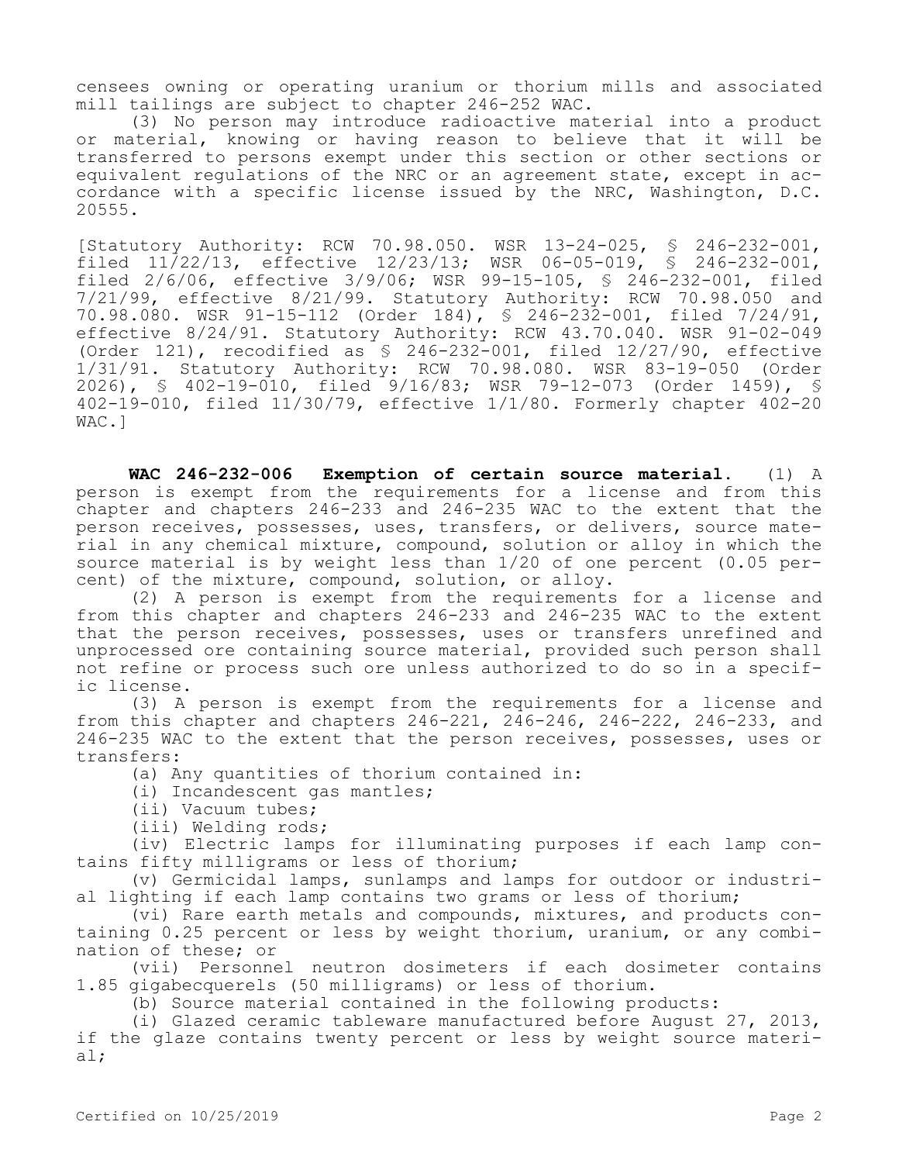censees owning or operating uranium or thorium mills and associated mill tailings are subject to chapter 246-252 WAC.

(3) No person may introduce radioactive material into a product or material, knowing or having reason to believe that it will be transferred to persons exempt under this section or other sections or equivalent regulations of the NRC or an agreement state, except in accordance with a specific license issued by the NRC, Washington, D.C. 20555.

[Statutory Authority: RCW 70.98.050. WSR 13-24-025, § 246-232-001, filed 11/22/13, effective 12/23/13; WSR 06-05-019, § 246-232-001, filed 2/6/06, effective 3/9/06; WSR 99-15-105, § 246-232-001, filed 7/21/99, effective 8/21/99. Statutory Authority: RCW 70.98.050 and 70.98.080. WSR 91-15-112 (Order 184), § 246-232-001, filed 7/24/91, effective 8/24/91. Statutory Authority: RCW 43.70.040. WSR 91-02-049 (Order 121), recodified as  $\frac{1}{5}$  246-232-001, filed 12/27/90, effective 1/31/91. Statutory Authority: RCW 70.98.080. WSR 83-19-050 (Order 1/31/91. Statutory Authority: RCW 70.98.080. WSR 83-19-050 2026), § 402-19-010, filed 9/16/83; WSR 79-12-073 (Order 1459), § 402-19-010, filed 11/30/79, effective 1/1/80. Formerly chapter 402-20 WAC.]

**WAC 246-232-006 Exemption of certain source material.** (1) A person is exempt from the requirements for a license and from this chapter and chapters 246-233 and 246-235 WAC to the extent that the person receives, possesses, uses, transfers, or delivers, source material in any chemical mixture, compound, solution or alloy in which the source material is by weight less than 1/20 of one percent (0.05 percent) of the mixture, compound, solution, or alloy.

(2) A person is exempt from the requirements for a license and from this chapter and chapters 246-233 and 246-235 WAC to the extent that the person receives, possesses, uses or transfers unrefined and unprocessed ore containing source material, provided such person shall not refine or process such ore unless authorized to do so in a specific license.

(3) A person is exempt from the requirements for a license and from this chapter and chapters 246-221, 246-246, 246-222, 246-233, and 246-235 WAC to the extent that the person receives, possesses, uses or transfers:

(a) Any quantities of thorium contained in:

(i) Incandescent gas mantles;

(ii) Vacuum tubes;

(iii) Welding rods;

(iv) Electric lamps for illuminating purposes if each lamp contains fifty milligrams or less of thorium;

(v) Germicidal lamps, sunlamps and lamps for outdoor or industrial lighting if each lamp contains two grams or less of thorium;

(vi) Rare earth metals and compounds, mixtures, and products containing 0.25 percent or less by weight thorium, uranium, or any combination of these; or

(vii) Personnel neutron dosimeters if each dosimeter contains 1.85 gigabecquerels (50 milligrams) or less of thorium.

(b) Source material contained in the following products:

(i) Glazed ceramic tableware manufactured before August 27, 2013, if the glaze contains twenty percent or less by weight source material;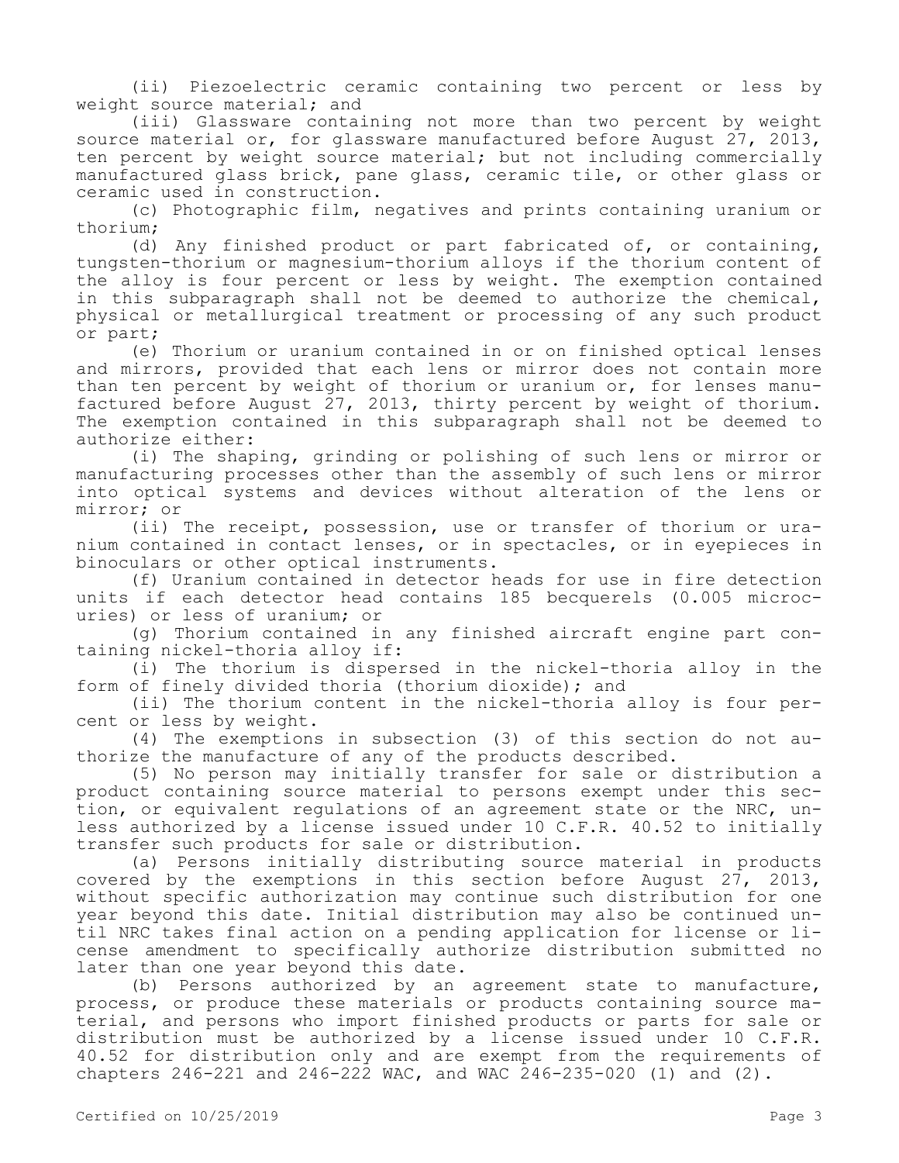(ii) Piezoelectric ceramic containing two percent or less by weight source material; and

(iii) Glassware containing not more than two percent by weight source material or, for glassware manufactured before August 27, 2013, ten percent by weight source material; but not including commercially manufactured glass brick, pane glass, ceramic tile, or other glass or ceramic used in construction.

(c) Photographic film, negatives and prints containing uranium or thorium;

(d) Any finished product or part fabricated of, or containing, tungsten-thorium or magnesium-thorium alloys if the thorium content of the alloy is four percent or less by weight. The exemption contained in this subparagraph shall not be deemed to authorize the chemical, physical or metallurgical treatment or processing of any such product or part;

(e) Thorium or uranium contained in or on finished optical lenses and mirrors, provided that each lens or mirror does not contain more than ten percent by weight of thorium or uranium or, for lenses manufactured before August 27, 2013, thirty percent by weight of thorium. The exemption contained in this subparagraph shall not be deemed to authorize either:

(i) The shaping, grinding or polishing of such lens or mirror or manufacturing processes other than the assembly of such lens or mirror into optical systems and devices without alteration of the lens or mirror; or

(ii) The receipt, possession, use or transfer of thorium or uranium contained in contact lenses, or in spectacles, or in eyepieces in binoculars or other optical instruments.

(f) Uranium contained in detector heads for use in fire detection units if each detector head contains 185 becquerels (0.005 microcuries) or less of uranium; or

(g) Thorium contained in any finished aircraft engine part containing nickel-thoria alloy if:

(i) The thorium is dispersed in the nickel-thoria alloy in the form of finely divided thoria (thorium dioxide); and

(ii) The thorium content in the nickel-thoria alloy is four percent or less by weight.

(4) The exemptions in subsection (3) of this section do not authorize the manufacture of any of the products described.

(5) No person may initially transfer for sale or distribution a product containing source material to persons exempt under this section, or equivalent regulations of an agreement state or the NRC, unless authorized by a license issued under 10 C.F.R. 40.52 to initially transfer such products for sale or distribution.

(a) Persons initially distributing source material in products covered by the exemptions in this section before August 27, 2013, without specific authorization may continue such distribution for one year beyond this date. Initial distribution may also be continued until NRC takes final action on a pending application for license or license amendment to specifically authorize distribution submitted no later than one year beyond this date.

(b) Persons authorized by an agreement state to manufacture, process, or produce these materials or products containing source material, and persons who import finished products or parts for sale or distribution must be authorized by a license issued under 10 C.F.R. 40.52 for distribution only and are exempt from the requirements of chapters 246-221 and 246-222 WAC, and WAC 246-235-020 (1) and (2).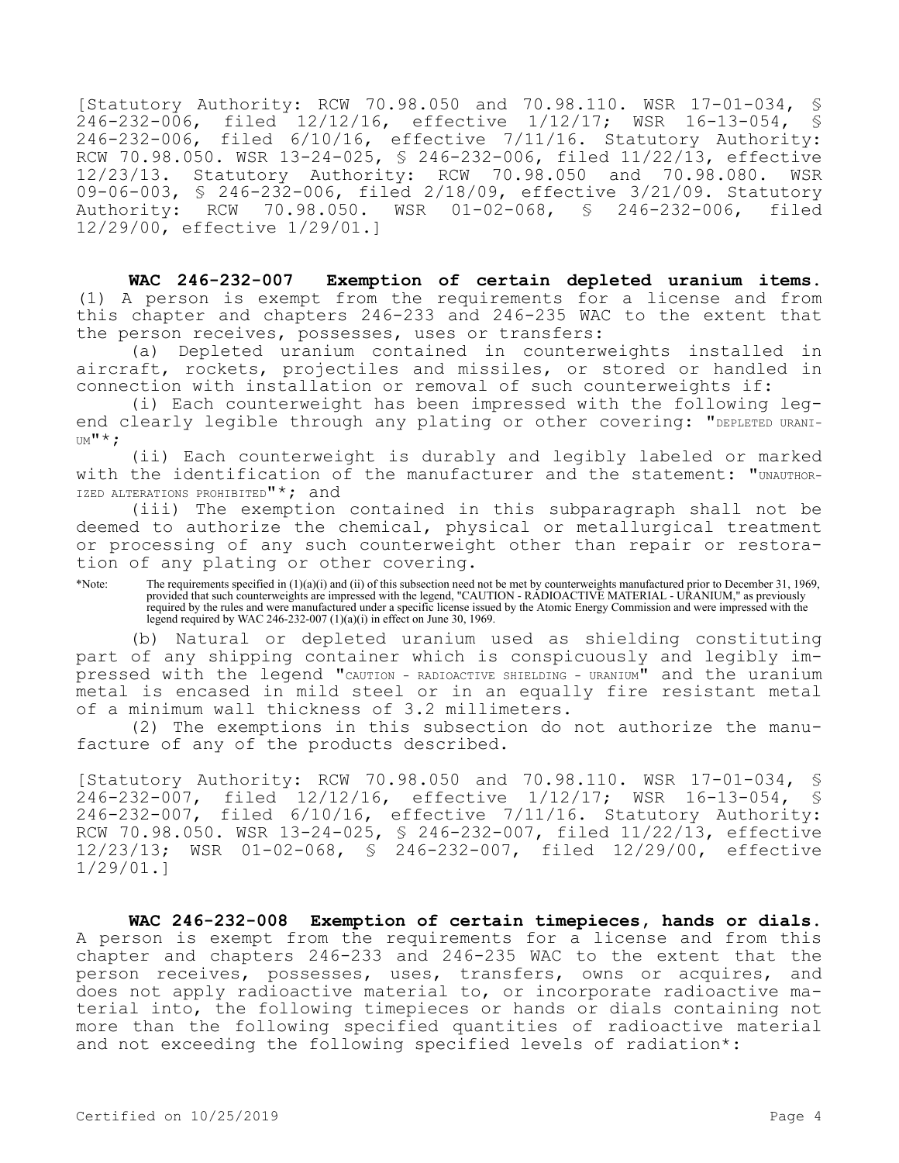[Statutory Authority: RCW 70.98.050 and 70.98.110. WSR 17-01-034, \$<br>246-232-006, filed 12/12/16, effective 1/12/17; WSR 16-13-054, \$ filed 12/12/16, effective 1/12/17; WSR 16-13-054, § 246-232-006, filed 6/10/16, effective 7/11/16. Statutory Authority: RCW 70.98.050. WSR 13-24-025, § 246-232-006, filed 11/22/13, effective 12/23/13. Statutory Authority: RCW 70.98.050 and 70.98.080. WSR 09-06-003, § 246-232-006, filed 2/18/09, effective 3/21/09. Statutory<br>Authority: RCW 70.98.050. WSR 01-02-068, § 246-232-006, filed Authority: RCW 70.98.050. WSR 01-02-068, § 246-232-006, filed 12/29/00, effective 1/29/01.]

**WAC 246-232-007 Exemption of certain depleted uranium items.**  (1) A person is exempt from the requirements for a license and from this chapter and chapters 246-233 and 246-235 WAC to the extent that the person receives, possesses, uses or transfers:

(a) Depleted uranium contained in counterweights installed in aircraft, rockets, projectiles and missiles, or stored or handled in connection with installation or removal of such counterweights if:

(i) Each counterweight has been impressed with the following legend clearly legible through any plating or other covering: "DEPLETED URANI- $U^M$ <sup> $\uparrow$ </sup>  $\uparrow$  ;

(ii) Each counterweight is durably and legibly labeled or marked with the identification of the manufacturer and the statement: "UNAUTHOR-IZED ALTERATIONS PROHIBITED"\*; and

(iii) The exemption contained in this subparagraph shall not be deemed to authorize the chemical, physical or metallurgical treatment or processing of any such counterweight other than repair or restoration of any plating or other covering.

\*Note: The requirements specified in (1)(a)(i) and (ii) of this subsection need not be met by counterweights manufactured prior to December 31, 1969, provided that such counterweights are impressed with the legend, "CAUTION - RADIOACTIVE MATERIAL - URANIUM," as previously required by the rules and were manufactured under a specific license issued by the Atomic Energy Commission and were impressed with the legend required by WAC 246-232-007 (1)(a)(i) in effect on June 30, 1969.

(b) Natural or depleted uranium used as shielding constituting part of any shipping container which is conspicuously and legibly impressed with the legend "CAUTION - RADIOACTIVE SHIELDING - URANIUM" and the uranium metal is encased in mild steel or in an equally fire resistant metal of a minimum wall thickness of 3.2 millimeters.

(2) The exemptions in this subsection do not authorize the manufacture of any of the products described.

[Statutory Authority: RCW 70.98.050 and 70.98.110. WSR 17-01-034, § 246-232-007, filed 12/12/16, effective 1/12/17; WSR 16-13-054, § 246-232-007, filed 6/10/16, effective 7/11/16. Statutory Authority: RCW 70.98.050. WSR 13-24-025, § 246-232-007, filed 11/22/13, effective 12/23/13; WSR 01-02-068, § 246-232-007, filed 12/29/00, effective 1/29/01.]

**WAC 246-232-008 Exemption of certain timepieces, hands or dials.**  A person is exempt from the requirements for a license and from this chapter and chapters 246-233 and 246-235 WAC to the extent that the person receives, possesses, uses, transfers, owns or acquires, and does not apply radioactive material to, or incorporate radioactive material into, the following timepieces or hands or dials containing not more than the following specified quantities of radioactive material and not exceeding the following specified levels of radiation\*: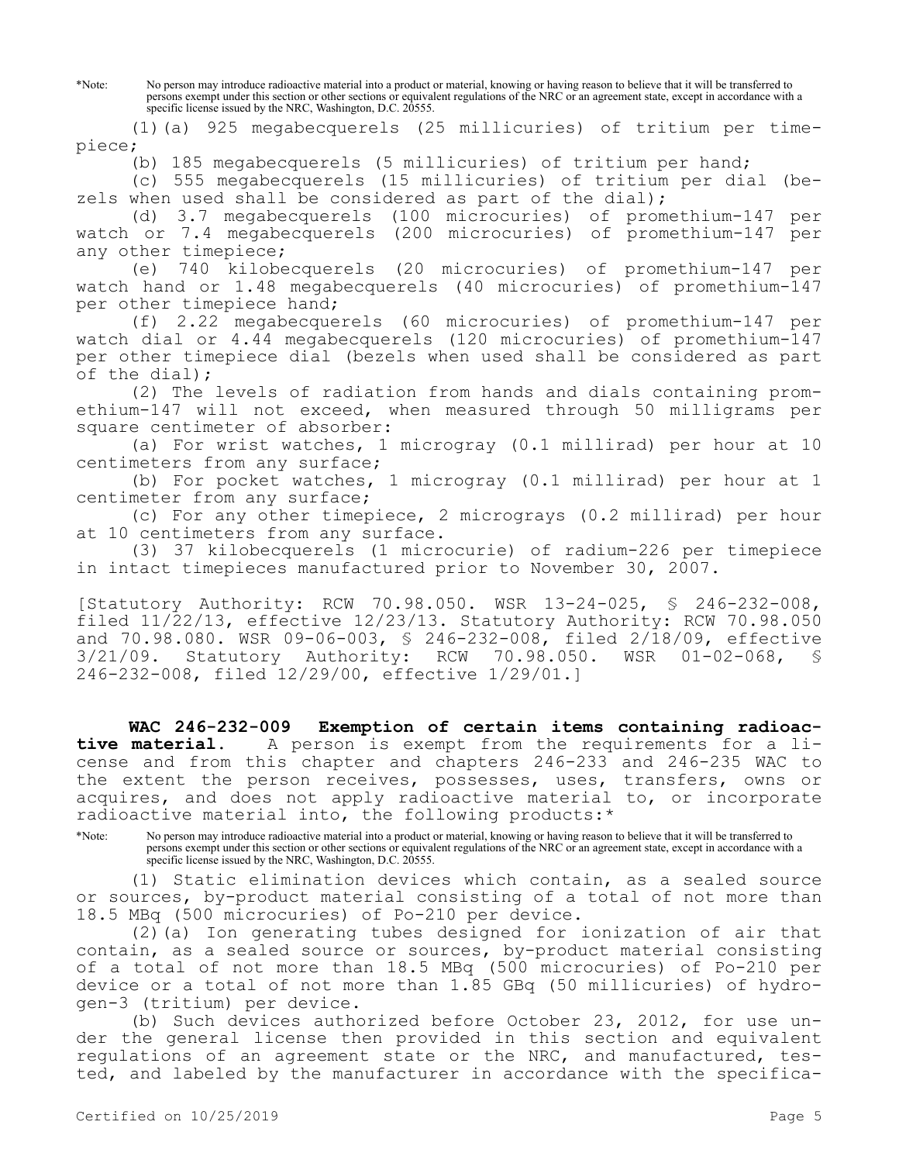\*Note: No person may introduce radioactive material into a product or material, knowing or having reason to believe that it will be transferred to persons exempt under this section or other sections or equivalent regulations of the NRC or an agreement state, except in accordance with a specific license issued by the NRC, Washington, D.C. 20555.

(1)(a) 925 megabecquerels (25 millicuries) of tritium per timepiece;

(b) 185 megabecquerels (5 millicuries) of tritium per hand;

(c) 555 megabecquerels (15 millicuries) of tritium per dial (bezels when used shall be considered as part of the dial);

(d) 3.7 megabecquerels (100 microcuries) of promethium-147 per watch or 7.4 megabecquerels (200 microcuries) of promethium-147 per any other timepiece;

(e) 740 kilobecquerels (20 microcuries) of promethium-147 per watch hand or 1.48 megabecquerels (40 microcuries) of promethium-147 per other timepiece hand;

(f) 2.22 megabecquerels (60 microcuries) of promethium-147 per watch dial or 4.44 megabecquerels (120 microcuries) of promethium-147 per other timepiece dial (bezels when used shall be considered as part of the dial);

(2) The levels of radiation from hands and dials containing promethium-147 will not exceed, when measured through 50 milligrams per square centimeter of absorber:

(a) For wrist watches, 1 microgray (0.1 millirad) per hour at 10 centimeters from any surface;

(b) For pocket watches, 1 microgray (0.1 millirad) per hour at 1 centimeter from any surface;

(c) For any other timepiece, 2 micrograys (0.2 millirad) per hour at 10 centimeters from any surface.

(3) 37 kilobecquerels (1 microcurie) of radium-226 per timepiece in intact timepieces manufactured prior to November 30, 2007.

[Statutory Authority: RCW 70.98.050. WSR 13-24-025, § 246-232-008, filed 11/22/13, effective 12/23/13. Statutory Authority: RCW 70.98.050 and 70.98.080. WSR 09-06-003, § 246-232-008, filed 2/18/09, effective 3/21/09. Statutory Authority: RCW 70.98.050. WSR 01-02-068, § 246-232-008, filed 12/29/00, effective 1/29/01.]

**WAC 246-232-009 Exemption of certain items containing radioactive material.** A person is exempt from the requirements for a license and from this chapter and chapters 246-233 and 246-235 WAC to the extent the person receives, possesses, uses, transfers, owns or acquires, and does not apply radioactive material to, or incorporate radioactive material into, the following products:\*

\*Note: No person may introduce radioactive material into a product or material, knowing or having reason to believe that it will be transferred to persons exempt under this section or other sections or equivalent regulations of the NRC or an agreement state, except in accordance with a specific license issued by the NRC, Washington, D.C. 20555.

(1) Static elimination devices which contain, as a sealed source or sources, by-product material consisting of a total of not more than 18.5 MBq (500 microcuries) of Po-210 per device.

(2)(a) Ion generating tubes designed for ionization of air that contain, as a sealed source or sources, by-product material consisting of a total of not more than 18.5 MBq (500 microcuries) of Po-210 per device or a total of not more than 1.85 GBq (50 millicuries) of hydrogen-3 (tritium) per device.

(b) Such devices authorized before October 23, 2012, for use under the general license then provided in this section and equivalent regulations of an agreement state or the NRC, and manufactured, tested, and labeled by the manufacturer in accordance with the specifica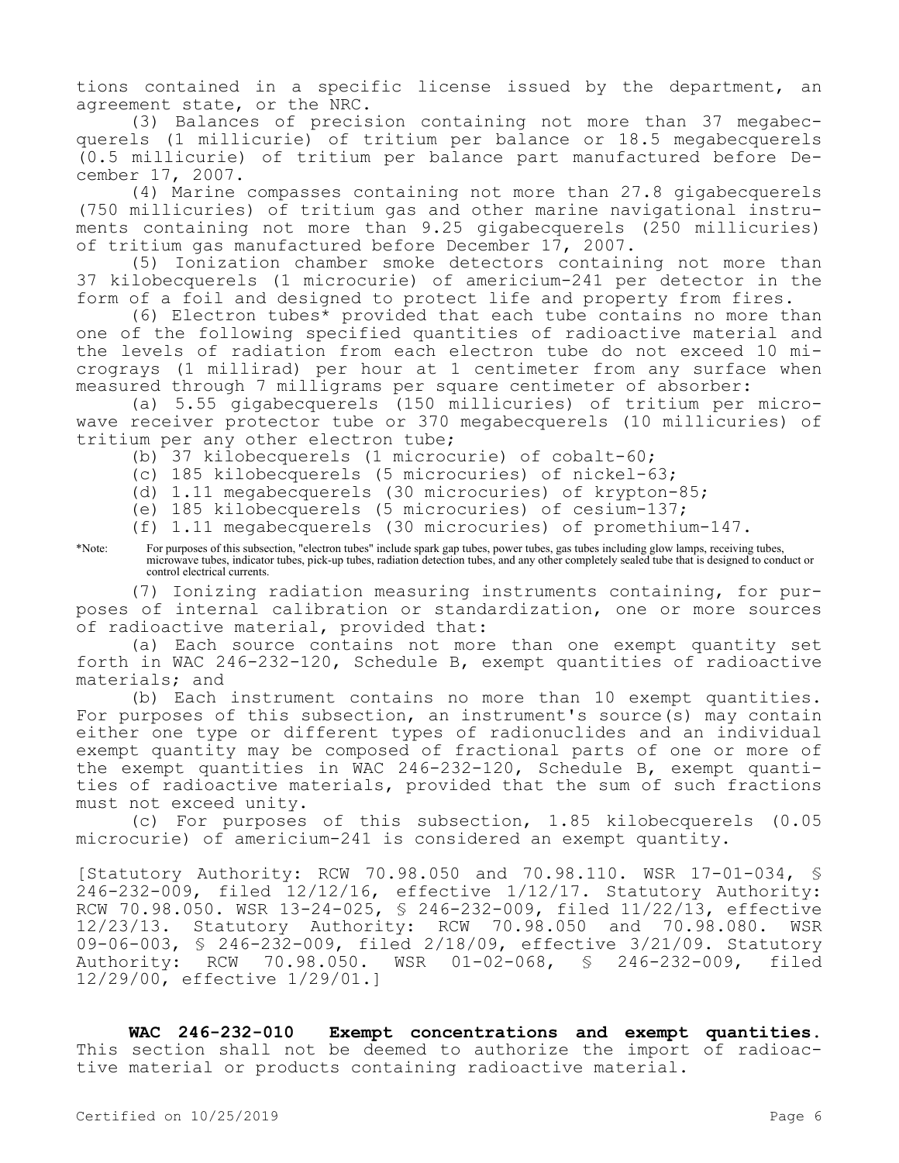tions contained in a specific license issued by the department, an agreement state, or the NRC.

(3) Balances of precision containing not more than 37 megabecquerels (1 millicurie) of tritium per balance or 18.5 megabecquerels (0.5 millicurie) of tritium per balance part manufactured before December 17, 2007.

(4) Marine compasses containing not more than 27.8 gigabecquerels (750 millicuries) of tritium gas and other marine navigational instruments containing not more than 9.25 gigabecquerels (250 millicuries) of tritium gas manufactured before December 17, 2007.

(5) Ionization chamber smoke detectors containing not more than 37 kilobecquerels (1 microcurie) of americium-241 per detector in the form of a foil and designed to protect life and property from fires.

(6) Electron tubes\* provided that each tube contains no more than one of the following specified quantities of radioactive material and the levels of radiation from each electron tube do not exceed 10 micrograys (1 millirad) per hour at 1 centimeter from any surface when measured through 7 milligrams per square centimeter of absorber:

(a) 5.55 gigabecquerels (150 millicuries) of tritium per microwave receiver protector tube or 370 megabecquerels (10 millicuries) of tritium per any other electron tube;

(b) 37 kilobecquerels (1 microcurie) of cobalt-60;

(c) 185 kilobecquerels (5 microcuries) of nickel-63;

(d) 1.11 megabecquerels (30 microcuries) of krypton-85;

(e) 185 kilobecquerels (5 microcuries) of cesium-137;

- (f) 1.11 megabecquerels (30 microcuries) of promethium-147.
- \*Note: For purposes of this subsection, "electron tubes" include spark gap tubes, power tubes, gas tubes including glow lamps, receiving tubes, microwave tubes, indicator tubes, pick-up tubes, radiation detection tubes, and any other completely sealed tube that is designed to conduct or control electrical currents.

(7) Ionizing radiation measuring instruments containing, for purposes of internal calibration or standardization, one or more sources of radioactive material, provided that:

(a) Each source contains not more than one exempt quantity set forth in WAC 246-232-120, Schedule B, exempt quantities of radioactive materials; and

(b) Each instrument contains no more than 10 exempt quantities. For purposes of this subsection, an instrument's source(s) may contain either one type or different types of radionuclides and an individual exempt quantity may be composed of fractional parts of one or more of the exempt quantities in WAC 246-232-120, Schedule B, exempt quantities of radioactive materials, provided that the sum of such fractions must not exceed unity.

(c) For purposes of this subsection, 1.85 kilobecquerels (0.05 microcurie) of americium-241 is considered an exempt quantity.

[Statutory Authority: RCW 70.98.050 and 70.98.110. WSR 17-01-034, § 246-232-009, filed 12/12/16, effective 1/12/17. Statutory Authority: RCW 70.98.050. WSR 13-24-025, § 246-232-009, filed 11/22/13, effective 12/23/13. Statutory Authority: RCW 70.98.050 and 70.98.080. WSR 09-06-003, § 246-232-009, filed 2/18/09, effective 3/21/09. Statutory Authority: RCW 70.98.050. WSR 01-02-068, § 246-232-009, filed 12/29/00, effective 1/29/01.]

**WAC 246-232-010 Exempt concentrations and exempt quantities.**  This section shall not be deemed to authorize the import of radioactive material or products containing radioactive material.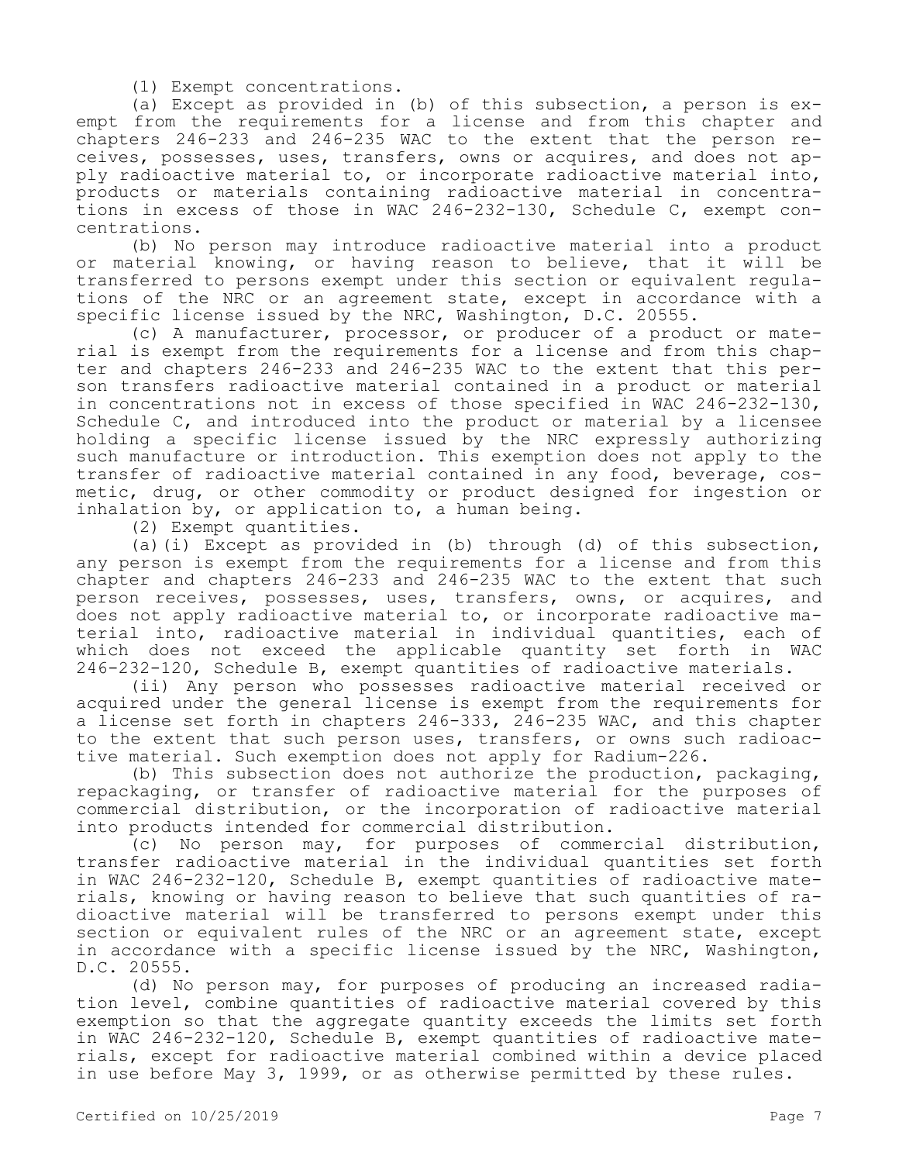(1) Exempt concentrations.

(a) Except as provided in (b) of this subsection, a person is exempt from the requirements for a license and from this chapter and chapters 246-233 and 246-235 WAC to the extent that the person receives, possesses, uses, transfers, owns or acquires, and does not apply radioactive material to, or incorporate radioactive material into, products or materials containing radioactive material in concentrations in excess of those in WAC 246-232-130, Schedule C, exempt concentrations.

(b) No person may introduce radioactive material into a product or material knowing, or having reason to believe, that it will be transferred to persons exempt under this section or equivalent regulations of the NRC or an agreement state, except in accordance with a specific license issued by the NRC, Washington, D.C. 20555.

(c) A manufacturer, processor, or producer of a product or material is exempt from the requirements for a license and from this chapter and chapters 246-233 and 246-235 WAC to the extent that this person transfers radioactive material contained in a product or material in concentrations not in excess of those specified in WAC 246-232-130, Schedule C, and introduced into the product or material by a licensee holding a specific license issued by the NRC expressly authorizing such manufacture or introduction. This exemption does not apply to the transfer of radioactive material contained in any food, beverage, cosmetic, drug, or other commodity or product designed for ingestion or inhalation by, or application to, a human being.

(2) Exempt quantities.

(a)(i) Except as provided in (b) through (d) of this subsection, any person is exempt from the requirements for a license and from this chapter and chapters 246-233 and 246-235 WAC to the extent that such person receives, possesses, uses, transfers, owns, or acquires, and does not apply radioactive material to, or incorporate radioactive material into, radioactive material in individual quantities, each of which does not exceed the applicable quantity set forth in WAC 246-232-120, Schedule B, exempt quantities of radioactive materials.

(ii) Any person who possesses radioactive material received or acquired under the general license is exempt from the requirements for a license set forth in chapters 246-333, 246-235 WAC, and this chapter to the extent that such person uses, transfers, or owns such radioactive material. Such exemption does not apply for Radium-226.

(b) This subsection does not authorize the production, packaging, repackaging, or transfer of radioactive material for the purposes of commercial distribution, or the incorporation of radioactive material into products intended for commercial distribution.

(c) No person may, for purposes of commercial distribution, transfer radioactive material in the individual quantities set forth in WAC 246-232-120, Schedule B, exempt quantities of radioactive materials, knowing or having reason to believe that such quantities of radioactive material will be transferred to persons exempt under this section or equivalent rules of the NRC or an agreement state, except in accordance with a specific license issued by the NRC, Washington, D.C. 20555.

(d) No person may, for purposes of producing an increased radiation level, combine quantities of radioactive material covered by this exemption so that the aggregate quantity exceeds the limits set forth in WAC 246-232-120, Schedule B, exempt quantities of radioactive materials, except for radioactive material combined within a device placed in use before May 3, 1999, or as otherwise permitted by these rules.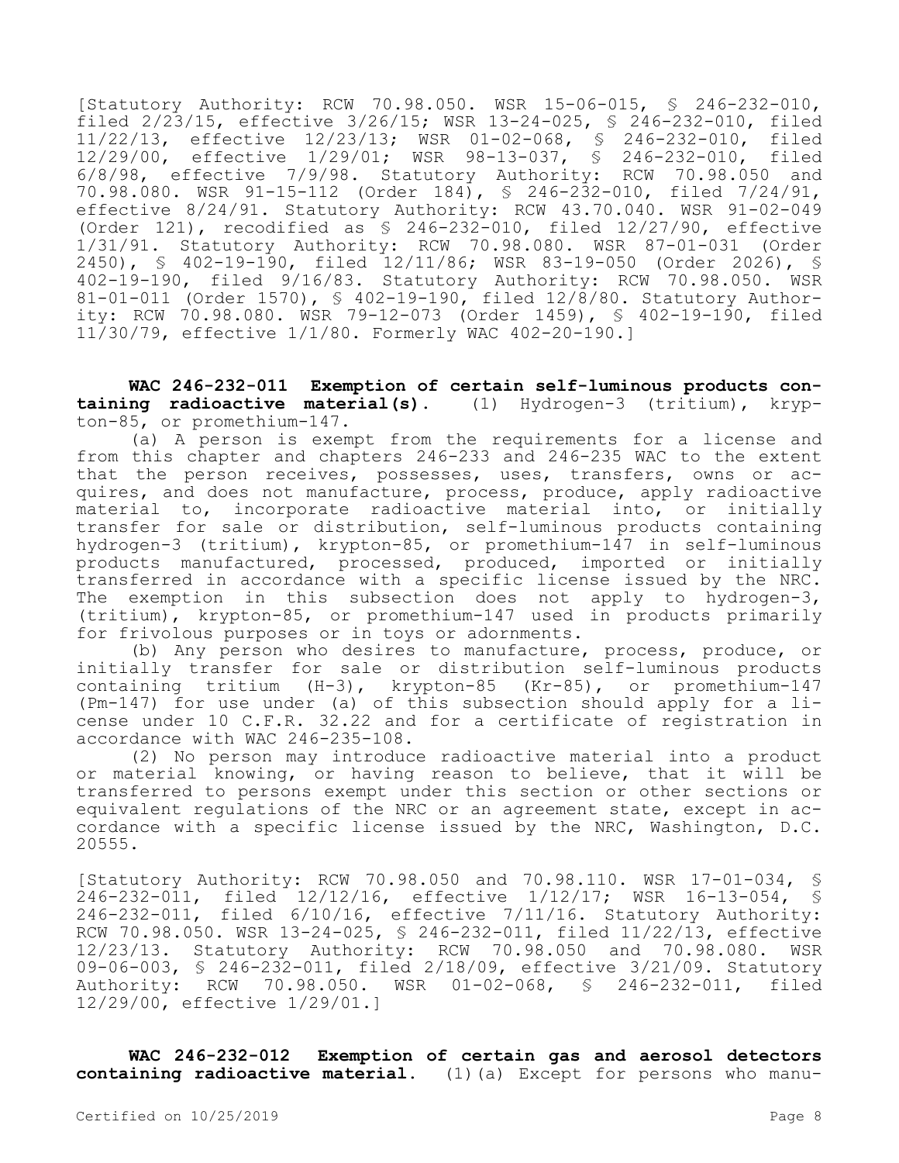[Statutory Authority: RCW 70.98.050. WSR 15-06-015, § 246-232-010, filed 2/23/15, effective 3/26/15; WSR 13-24-025, § 246-232-010, filed 11/22/13, effective 12/23/13; WSR 01-02-068, § 246-232-010, filed 12/29/00, effective 1/29/01; WSR 98-13-037, § 246-232-010, filed 6/8/98, effective 7/9/98. Statutory Authority: RCW 70.98.050 and 70.98.080. WSR 91-15-112 (Order 184), § 246-232-010, filed 7/24/91, effective 8/24/91. Statutory Authority: RCW 43.70.040. WSR 91-02-049 (Order 121), recodified as  $\frac{1}{2}$  246-232-010, filed 12/27/90, effective 1/31/91. Statutory Authority: RCW 70.98.080. WSR 87-01-031 (Order 2450), § 402-19-190, filed 12/11/86; WSR 83-19-050 (Order 2026), § 402-19-190, filed 9/16/83. Statutory Authority: RCW 70.98.050. WSR 81-01-011 (Order 1570), § 402-19-190, filed 12/8/80. Statutory Authority: RCW 70.98.080. WSR 79-12-073 (Order 1459), § 402-19-190, filed 11/30/79, effective 1/1/80. Formerly WAC 402-20-190.]

**WAC 246-232-011 Exemption of certain self-luminous products containing radioactive material(s).** (1) Hydrogen-3 (tritium), krypton-85, or promethium-147.

(a) A person is exempt from the requirements for a license and from this chapter and chapters 246-233 and 246-235 WAC to the extent that the person receives, possesses, uses, transfers, owns or acquires, and does not manufacture, process, produce, apply radioactive material to, incorporate radioactive material into, or initially transfer for sale or distribution, self-luminous products containing hydrogen-3 (tritium), krypton-85, or promethium-147 in self-luminous products manufactured, processed, produced, imported or initially transferred in accordance with a specific license issued by the NRC. The exemption in this subsection does not apply to hydrogen-3, (tritium), krypton-85, or promethium-147 used in products primarily for frivolous purposes or in toys or adornments.

(b) Any person who desires to manufacture, process, produce, or initially transfer for sale or distribution self-luminous products containing tritium (H-3), krypton-85 (Kr-85), or promethium-147 (Pm-147) for use under (a) of this subsection should apply for a license under 10 C.F.R. 32.22 and for a certificate of registration in accordance with WAC 246-235-108.

(2) No person may introduce radioactive material into a product or material knowing, or having reason to believe, that it will be transferred to persons exempt under this section or other sections or equivalent regulations of the NRC or an agreement state, except in accordance with a specific license issued by the NRC, Washington, D.C. 20555.

[Statutory Authority: RCW 70.98.050 and 70.98.110. WSR 17-01-034, § 246-232-011, filed 12/12/16, effective 1/12/17; WSR 16-13-054, § 246-232-011, filed 6/10/16, effective 7/11/16. Statutory Authority: RCW 70.98.050. WSR 13-24-025, § 246-232-011, filed 11/22/13, effective 12/23/13. Statutory Authority: RCW 70.98.050 and 70.98.080. WSR 09-06-003, § 246-232-011, filed 2/18/09, effective 3/21/09. Statutory Authority: RCW 70.98.050. WSR 01-02-068, § 246-232-011, filed 12/29/00, effective 1/29/01.]

**WAC 246-232-012 Exemption of certain gas and aerosol detectors containing radioactive material.** (1)(a) Except for persons who manu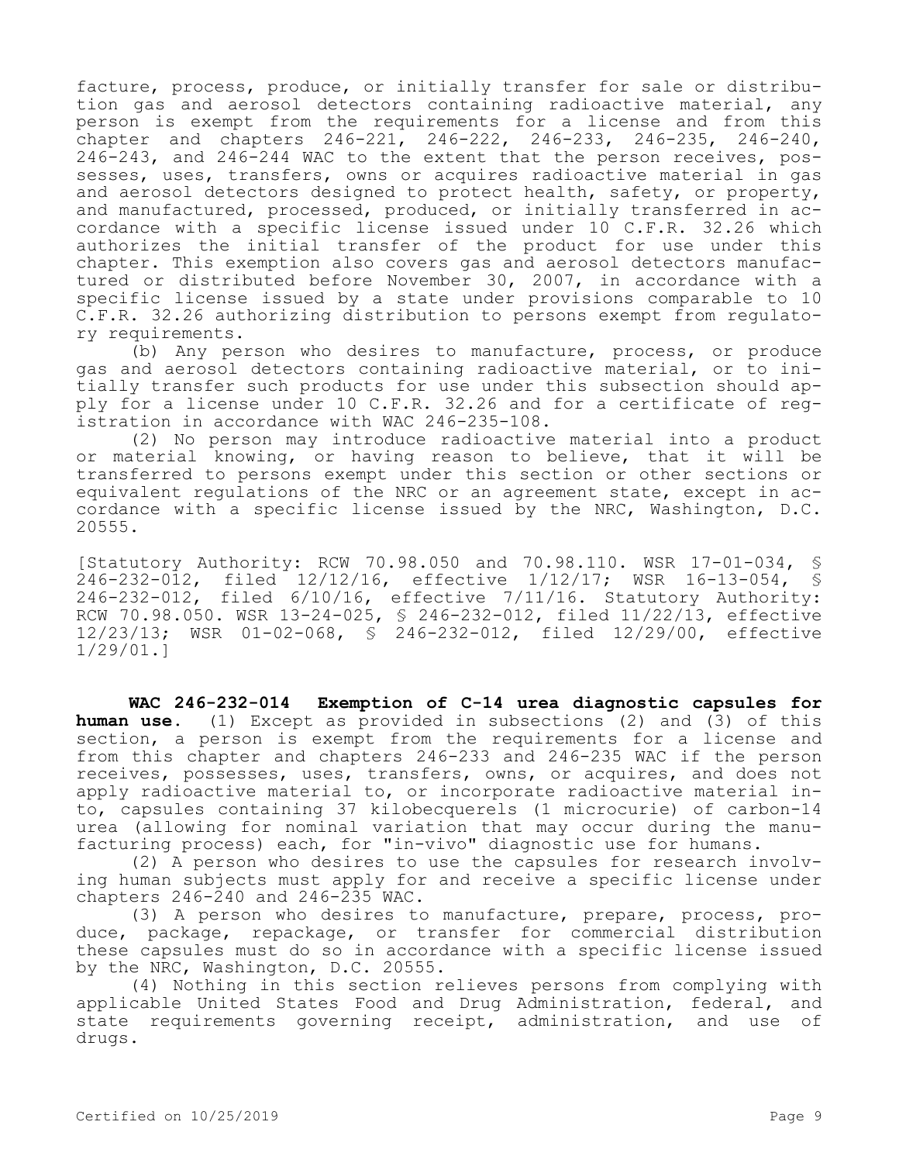facture, process, produce, or initially transfer for sale or distribution gas and aerosol detectors containing radioactive material, any person is exempt from the requirements for a license and from this -<br>chapter and chapters 246-221, 246-222, 246-233, 246-235, 246-240, 246-243, and 246-244 WAC to the extent that the person receives, possesses, uses, transfers, owns or acquires radioactive material in gas and aerosol detectors designed to protect health, safety, or property, and manufactured, processed, produced, or initially transferred in accordance with a specific license issued under 10 C.F.R. 32.26 which authorizes the initial transfer of the product for use under this chapter. This exemption also covers gas and aerosol detectors manufactured or distributed before November 30, 2007, in accordance with a specific license issued by a state under provisions comparable to 10 C.F.R. 32.26 authorizing distribution to persons exempt from regulatory requirements.

(b) Any person who desires to manufacture, process, or produce gas and aerosol detectors containing radioactive material, or to initially transfer such products for use under this subsection should apply for a license under 10 C.F.R. 32.26 and for a certificate of registration in accordance with WAC 246-235-108.

(2) No person may introduce radioactive material into a product or material knowing, or having reason to believe, that it will be transferred to persons exempt under this section or other sections or equivalent regulations of the NRC or an agreement state, except in accordance with a specific license issued by the NRC, Washington, D.C. 20555.

[Statutory Authority: RCW 70.98.050 and 70.98.110. WSR 17-01-034, § 246-232-012, filed 12/12/16, effective 1/12/17; WSR 16-13-054, § 246-232-012, filed 6/10/16, effective 7/11/16. Statutory Authority: RCW 70.98.050. WSR 13-24-025, § 246-232-012, filed 11/22/13, effective 12/23/13; WSR 01-02-068, § 246-232-012, filed 12/29/00, effective 1/29/01.]

**WAC 246-232-014 Exemption of C-14 urea diagnostic capsules for human use.** (1) Except as provided in subsections (2) and (3) of this section, a person is exempt from the requirements for a license and from this chapter and chapters 246-233 and 246-235 WAC if the person receives, possesses, uses, transfers, owns, or acquires, and does not apply radioactive material to, or incorporate radioactive material into, capsules containing 37 kilobecquerels (1 microcurie) of carbon-14 urea (allowing for nominal variation that may occur during the manufacturing process) each, for "in-vivo" diagnostic use for humans.

(2) A person who desires to use the capsules for research involving human subjects must apply for and receive a specific license under chapters 246-240 and 246-235 WAC.

(3) A person who desires to manufacture, prepare, process, produce, package, repackage, or transfer for commercial distribution these capsules must do so in accordance with a specific license issued by the NRC, Washington, D.C. 20555.

(4) Nothing in this section relieves persons from complying with applicable United States Food and Drug Administration, federal, and state requirements governing receipt, administration, and use of drugs.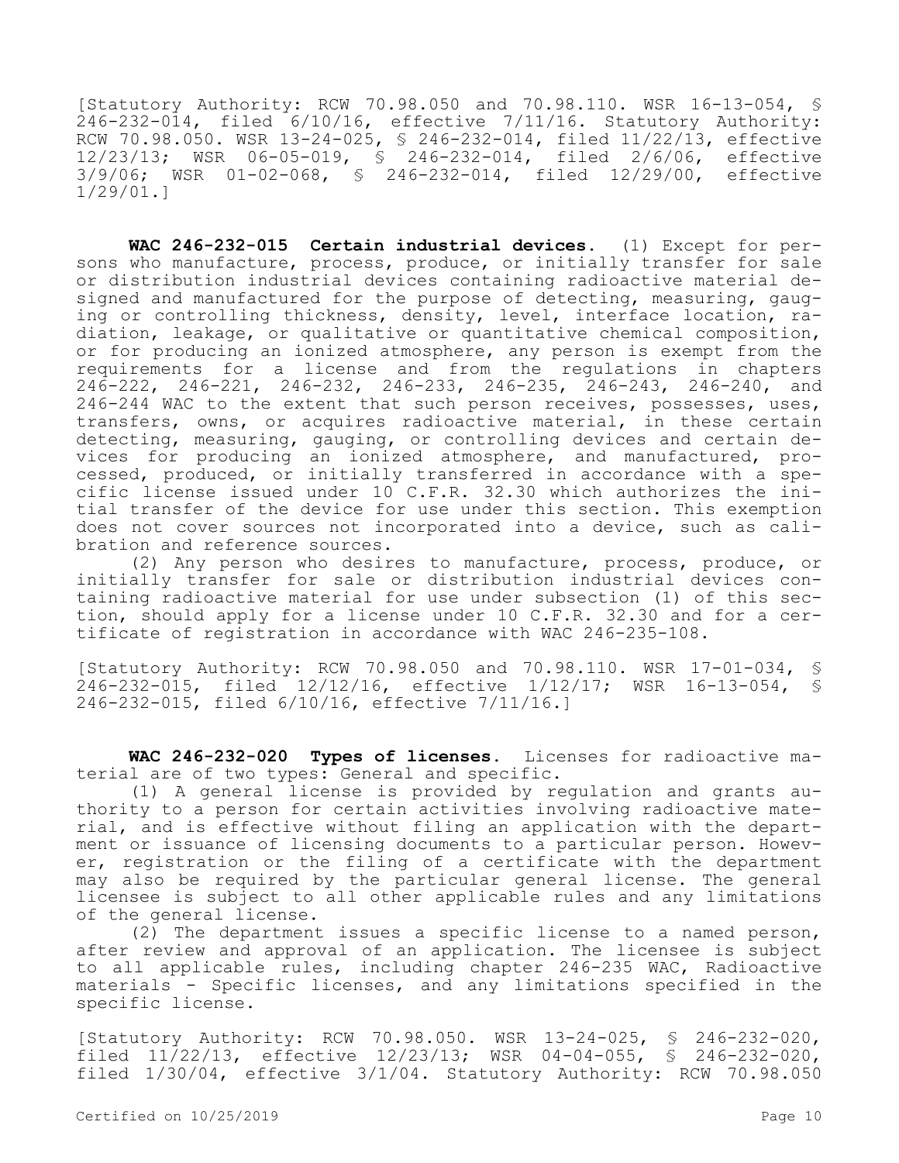[Statutory Authority: RCW 70.98.050 and 70.98.110. WSR 16-13-054, § 246-232-014, filed 6/10/16, effective 7/11/16. Statutory Authority: RCW 70.98.050. WSR 13-24-025, § 246-232-014, filed 11/22/13, effective 12/23/13; WSR 06-05-019, § 246-232-014, filed 2/6/06, effective 3/9/06; WSR 01-02-068, § 246-232-014, filed 12/29/00, effective 1/29/01.]

**WAC 246-232-015 Certain industrial devices.** (1) Except for persons who manufacture, process, produce, or initially transfer for sale or distribution industrial devices containing radioactive material designed and manufactured for the purpose of detecting, measuring, gauging or controlling thickness, density, level, interface location, radiation, leakage, or qualitative or quantitative chemical composition, or for producing an ionized atmosphere, any person is exempt from the requirements for a license and from the regulations in chapters 246-222, 246-221, 246-232, 246-233, 246-235, 246-243, 246-240, and 246-244 WAC to the extent that such person receives, possesses, uses, transfers, owns, or acquires radioactive material, in these certain detecting, measuring, gauging, or controlling devices and certain devices for producing an ionized atmosphere, and manufactured, processed, produced, or initially transferred in accordance with a specific license issued under 10 C.F.R. 32.30 which authorizes the initial transfer of the device for use under this section. This exemption does not cover sources not incorporated into a device, such as calibration and reference sources.

(2) Any person who desires to manufacture, process, produce, or initially transfer for sale or distribution industrial devices containing radioactive material for use under subsection (1) of this section, should apply for a license under 10 C.F.R. 32.30 and for a certificate of registration in accordance with WAC 246-235-108.

[Statutory Authority: RCW 70.98.050 and 70.98.110. WSR 17-01-034, § 246-232-015, filed 12/12/16, effective 1/12/17; WSR 16-13-054, § 246-232-015, filed 6/10/16, effective 7/11/16.]

**WAC 246-232-020 Types of licenses.** Licenses for radioactive material are of two types: General and specific.

(1) A general license is provided by regulation and grants authority to a person for certain activities involving radioactive material, and is effective without filing an application with the department or issuance of licensing documents to a particular person. However, registration or the filing of a certificate with the department may also be required by the particular general license. The general licensee is subject to all other applicable rules and any limitations of the general license.

(2) The department issues a specific license to a named person, after review and approval of an application. The licensee is subject to all applicable rules, including chapter 246-235 WAC, Radioactive materials - Specific licenses, and any limitations specified in the specific license.

[Statutory Authority: RCW 70.98.050. WSR 13-24-025, § 246-232-020, filed 11/22/13, effective 12/23/13; WSR 04-04-055, § 246-232-020, filed 1/30/04, effective 3/1/04. Statutory Authority: RCW 70.98.050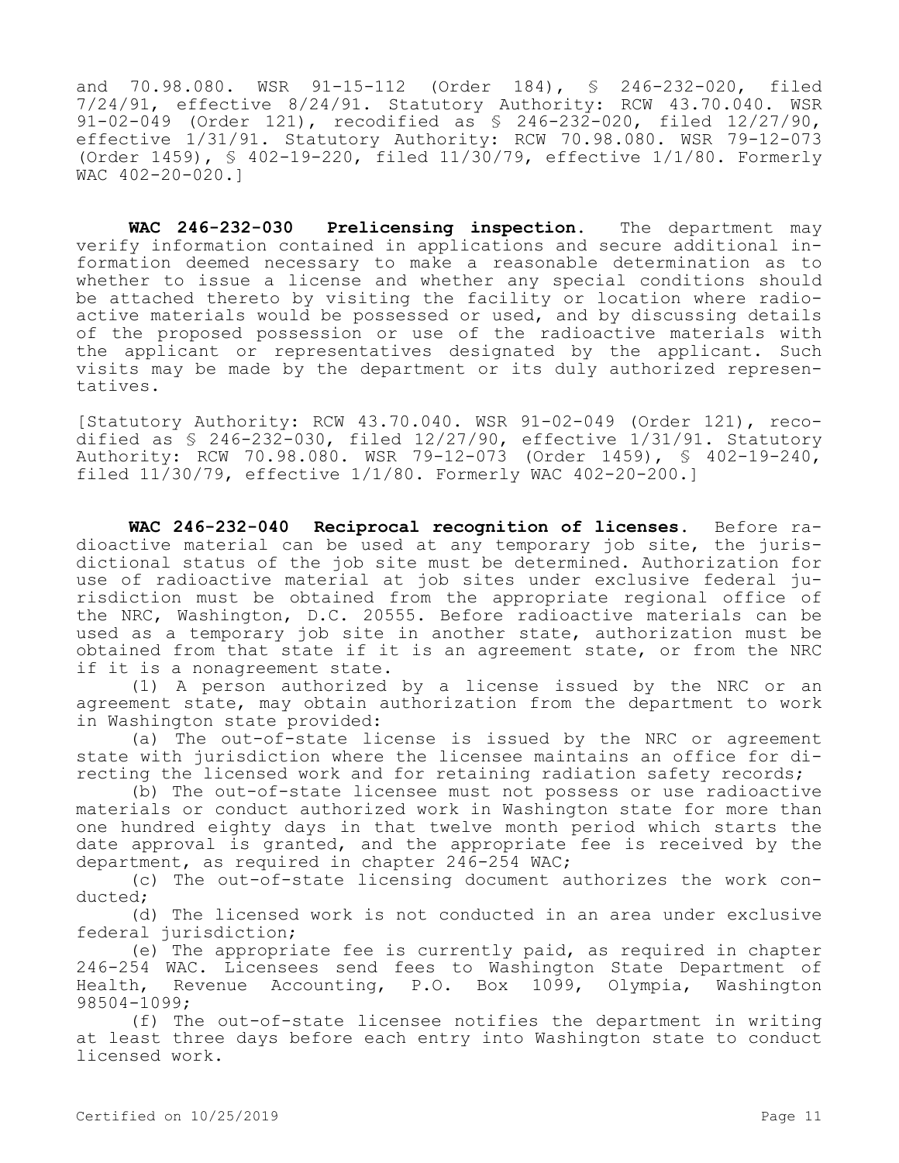and 70.98.080. WSR 91-15-112 (Order 184), § 246-232-020, filed 7/24/91, effective 8/24/91. Statutory Authority: RCW 43.70.040. WSR 91-02-049 (Order 121), recodified as § 246-232-020, filed 12/27/90, effective 1/31/91. Statutory Authority: RCW 70.98.080. WSR 79-12-073 (Order 1459), § 402-19-220, filed 11/30/79, effective 1/1/80. Formerly WAC 402-20-020.]

**WAC 246-232-030 Prelicensing inspection.** The department may verify information contained in applications and secure additional information deemed necessary to make a reasonable determination as to whether to issue a license and whether any special conditions should be attached thereto by visiting the facility or location where radioactive materials would be possessed or used, and by discussing details of the proposed possession or use of the radioactive materials with the applicant or representatives designated by the applicant. Such visits may be made by the department or its duly authorized representatives.

[Statutory Authority: RCW 43.70.040. WSR 91-02-049 (Order 121), recodified as  $$ 246-232-030$ , filed  $12/27/90$ , effective  $1/31/91$ . Statutory Authority: RCW 70.98.080. WSR 79-12-073 (Order 1459), § 402-19-240, filed 11/30/79, effective 1/1/80. Formerly WAC 402-20-200.]

**WAC 246-232-040 Reciprocal recognition of licenses.** Before radioactive material can be used at any temporary job site, the jurisdictional status of the job site must be determined. Authorization for use of radioactive material at job sites under exclusive federal jurisdiction must be obtained from the appropriate regional office of the NRC, Washington, D.C. 20555. Before radioactive materials can be used as a temporary job site in another state, authorization must be obtained from that state if it is an agreement state, or from the NRC if it is a nonagreement state.

(1) A person authorized by a license issued by the NRC or an agreement state, may obtain authorization from the department to work in Washington state provided:

(a) The out-of-state license is issued by the NRC or agreement state with jurisdiction where the licensee maintains an office for directing the licensed work and for retaining radiation safety records;

(b) The out-of-state licensee must not possess or use radioactive materials or conduct authorized work in Washington state for more than one hundred eighty days in that twelve month period which starts the date approval is granted, and the appropriate fee is received by the department, as required in chapter 246-254 WAC;

(c) The out-of-state licensing document authorizes the work conducted;

(d) The licensed work is not conducted in an area under exclusive federal jurisdiction;

(e) The appropriate fee is currently paid, as required in chapter 246-254 WAC. Licensees send fees to Washington State Department of Health, Revenue Accounting, P.O. Box 1099, Olympia, Washington 98504-1099;

(f) The out-of-state licensee notifies the department in writing at least three days before each entry into Washington state to conduct licensed work.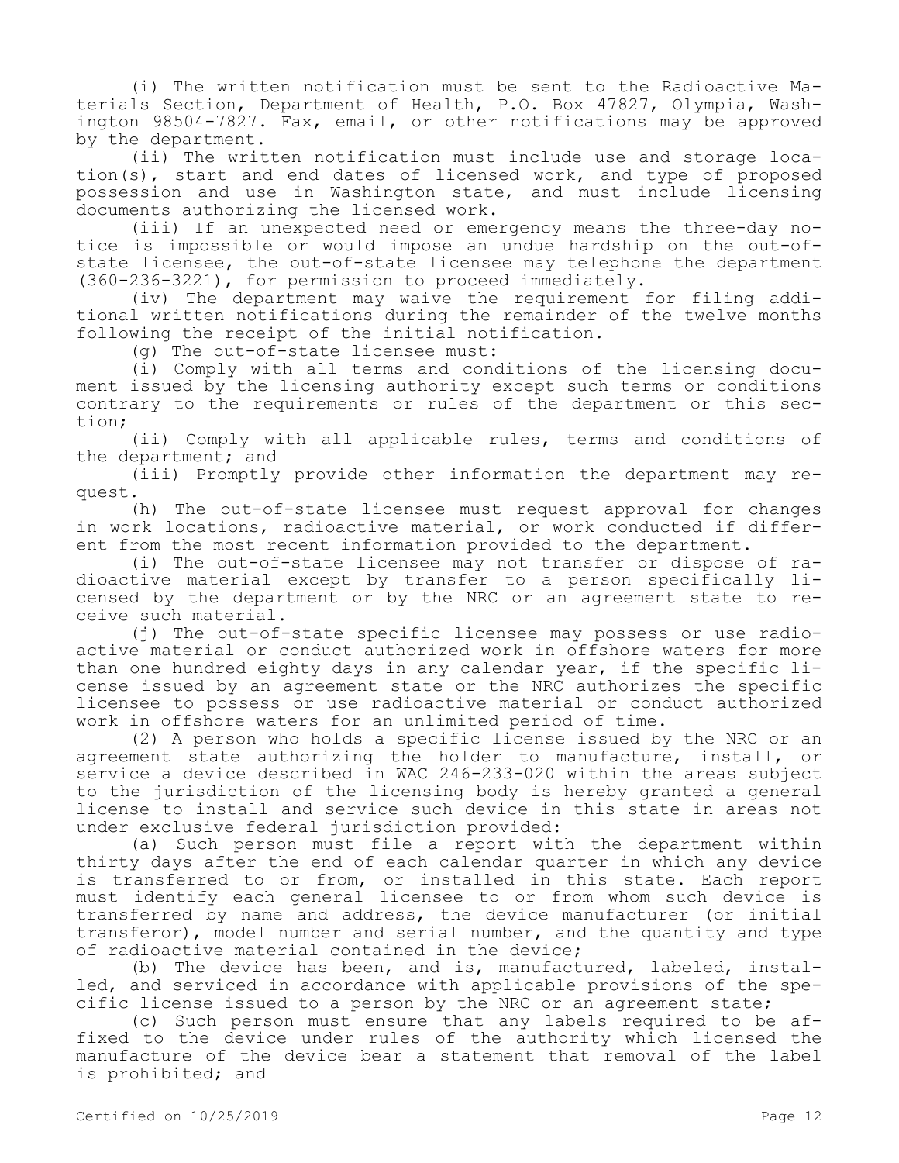(i) The written notification must be sent to the Radioactive Materials Section, Department of Health, P.O. Box 47827, Olympia, Washington 98504-7827. Fax, email, or other notifications may be approved by the department.

(ii) The written notification must include use and storage location(s), start and end dates of licensed work, and type of proposed possession and use in Washington state, and must include licensing documents authorizing the licensed work.

(iii) If an unexpected need or emergency means the three-day notice is impossible or would impose an undue hardship on the out-ofstate licensee, the out-of-state licensee may telephone the department (360-236-3221), for permission to proceed immediately.

(iv) The department may waive the requirement for filing additional written notifications during the remainder of the twelve months following the receipt of the initial notification.

(g) The out-of-state licensee must:

(i) Comply with all terms and conditions of the licensing document issued by the licensing authority except such terms or conditions contrary to the requirements or rules of the department or this section;

(ii) Comply with all applicable rules, terms and conditions of the department; and

(iii) Promptly provide other information the department may request.

(h) The out-of-state licensee must request approval for changes in work locations, radioactive material, or work conducted if different from the most recent information provided to the department.

(i) The out-of-state licensee may not transfer or dispose of radioactive material except by transfer to a person specifically licensed by the department or by the NRC or an agreement state to receive such material.

(j) The out-of-state specific licensee may possess or use radioactive material or conduct authorized work in offshore waters for more than one hundred eighty days in any calendar year, if the specific license issued by an agreement state or the NRC authorizes the specific licensee to possess or use radioactive material or conduct authorized work in offshore waters for an unlimited period of time.

(2) A person who holds a specific license issued by the NRC or an agreement state authorizing the holder to manufacture, install, or service a device described in WAC 246-233-020 within the areas subject to the jurisdiction of the licensing body is hereby granted a general license to install and service such device in this state in areas not under exclusive federal jurisdiction provided:

(a) Such person must file a report with the department within thirty days after the end of each calendar quarter in which any device is transferred to or from, or installed in this state. Each report must identify each general licensee to or from whom such device is transferred by name and address, the device manufacturer (or initial transferor), model number and serial number, and the quantity and type of radioactive material contained in the device;

(b) The device has been, and is, manufactured, labeled, installed, and serviced in accordance with applicable provisions of the specific license issued to a person by the NRC or an agreement state;

(c) Such person must ensure that any labels required to be affixed to the device under rules of the authority which licensed the manufacture of the device bear a statement that removal of the label is prohibited; and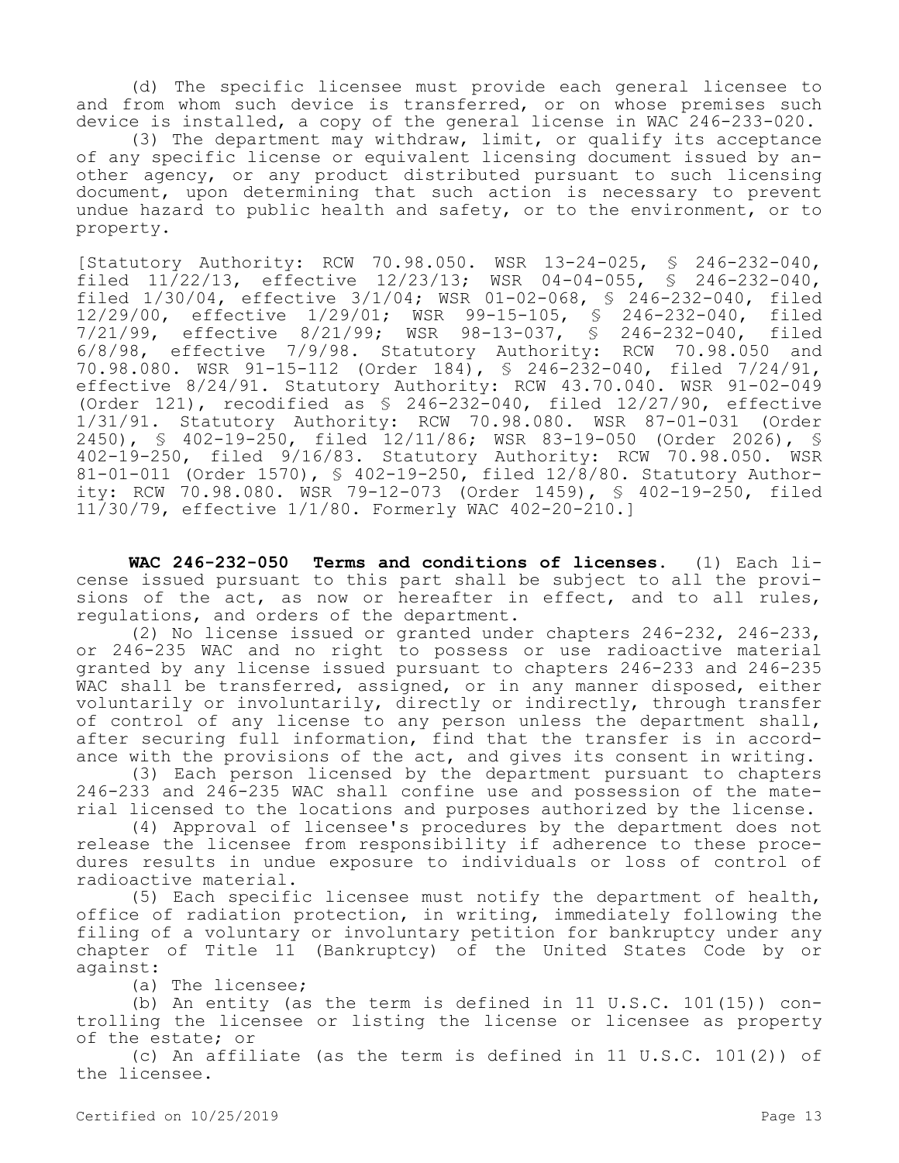(d) The specific licensee must provide each general licensee to and from whom such device is transferred, or on whose premises such device is installed, a copy of the general license in WAC 246-233-020.

(3) The department may withdraw, limit, or qualify its acceptance of any specific license or equivalent licensing document issued by another agency, or any product distributed pursuant to such licensing document, upon determining that such action is necessary to prevent undue hazard to public health and safety, or to the environment, or to property.

[Statutory Authority: RCW 70.98.050. WSR 13-24-025, § 246-232-040, filed 11/22/13, effective 12/23/13; WSR 04-04-055, § 246-232-040, filed 1/30/04, effective 3/1/04; WSR 01-02-068, § 246-232-040, filed 12/29/00, effective 1/29/01; WSR 99-15-105, § 246-232-040, filed 7/21/99, effective 8/21/99; WSR 98-13-037, § 246-232-040, filed 6/8/98, effective 7/9/98. Statutory Authority: RCW 70.98.050 and 70.98.080. WSR 91-15-112 (Order 184), § 246-232-040, filed 7/24/91, effective 8/24/91. Statutory Authority: RCW 43.70.040. WSR 91-02-049 (Order 121), recodified as § 246-232-040, filed 12/27/90, effective 1/31/91. Statutory Authority: RCW 70.98.080. WSR 87-01-031 (Order 2450), § 402-19-250, filed 12/11/86; WSR 83-19-050 (Order 2026), § 402-19-250, filed 9/16/83. Statutory Authority: RCW 70.98.050. WSR 81-01-011 (Order 1570), § 402-19-250, filed 12/8/80. Statutory Authority: RCW 70.98.080. WSR 79-12-073 (Order 1459), § 402-19-250, filed 11/30/79, effective 1/1/80. Formerly WAC 402-20-210.]

**WAC 246-232-050 Terms and conditions of licenses.** (1) Each license issued pursuant to this part shall be subject to all the provisions of the act, as now or hereafter in effect, and to all rules, regulations, and orders of the department.

(2) No license issued or granted under chapters 246-232, 246-233, or 246-235 WAC and no right to possess or use radioactive material granted by any license issued pursuant to chapters 246-233 and 246-235 WAC shall be transferred, assigned, or in any manner disposed, either voluntarily or involuntarily, directly or indirectly, through transfer of control of any license to any person unless the department shall, after securing full information, find that the transfer is in accordance with the provisions of the act, and gives its consent in writing.

(3) Each person licensed by the department pursuant to chapters 246-233 and 246-235 WAC shall confine use and possession of the material licensed to the locations and purposes authorized by the license.

(4) Approval of licensee's procedures by the department does not release the licensee from responsibility if adherence to these procedures results in undue exposure to individuals or loss of control of radioactive material.

(5) Each specific licensee must notify the department of health, office of radiation protection, in writing, immediately following the filing of a voluntary or involuntary petition for bankruptcy under any chapter of Title 11 (Bankruptcy) of the United States Code by or against:

(a) The licensee;

(b) An entity (as the term is defined in 11 U.S.C. 101(15)) controlling the licensee or listing the license or licensee as property of the estate; or

(c) An affiliate (as the term is defined in 11 U.S.C. 101(2)) of the licensee.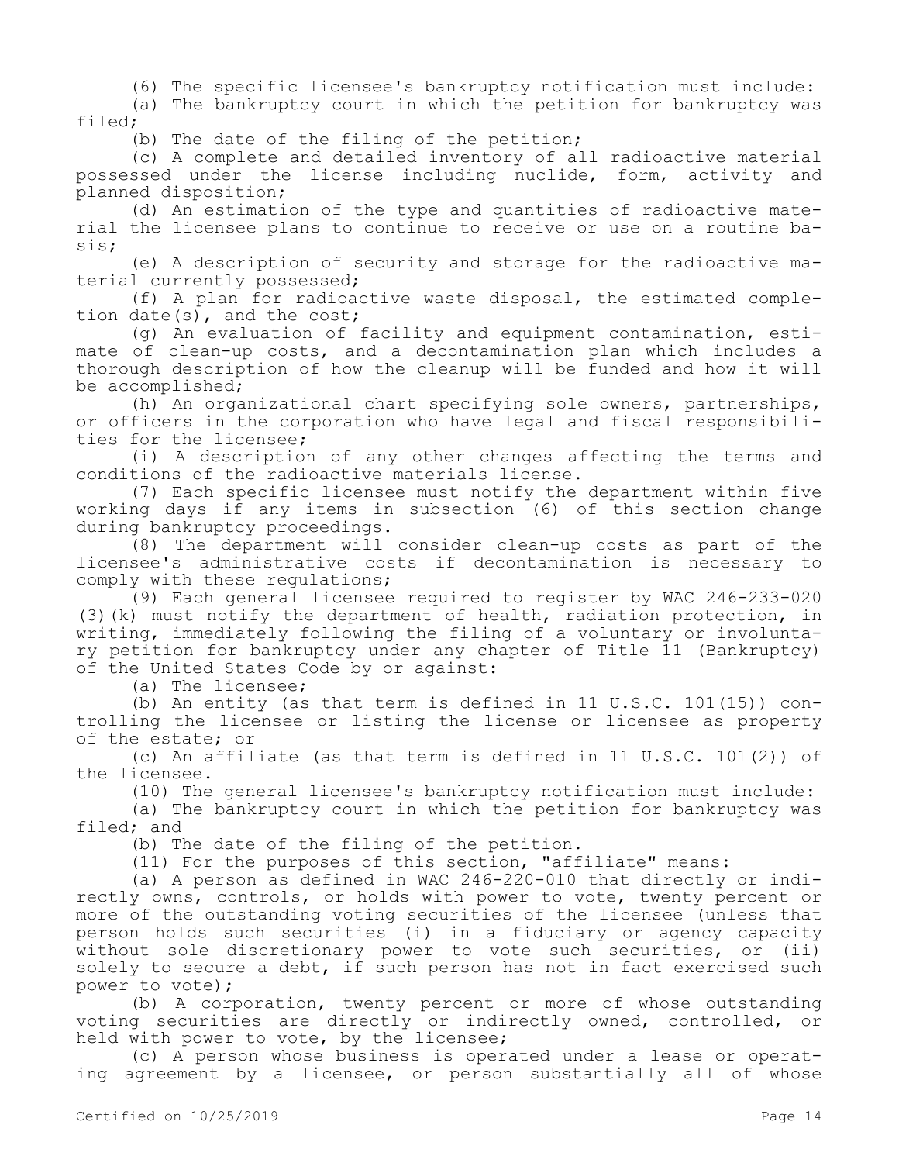(6) The specific licensee's bankruptcy notification must include:

(a) The bankruptcy court in which the petition for bankruptcy was filed;

(b) The date of the filing of the petition;

(c) A complete and detailed inventory of all radioactive material possessed under the license including nuclide, form, activity and planned disposition;

(d) An estimation of the type and quantities of radioactive material the licensee plans to continue to receive or use on a routine basis;

(e) A description of security and storage for the radioactive material currently possessed;

(f) A plan for radioactive waste disposal, the estimated completion date(s), and the cost;

(g) An evaluation of facility and equipment contamination, estimate of clean-up costs, and a decontamination plan which includes a thorough description of how the cleanup will be funded and how it will be accomplished;

(h) An organizational chart specifying sole owners, partnerships, or officers in the corporation who have legal and fiscal responsibilities for the licensee;

(i) A description of any other changes affecting the terms and conditions of the radioactive materials license.

(7) Each specific licensee must notify the department within five working days if any items in subsection (6) of this section change during bankruptcy proceedings.

(8) The department will consider clean-up costs as part of the licensee's administrative costs if decontamination is necessary to comply with these regulations;

(9) Each general licensee required to register by WAC 246-233-020 (3)(k) must notify the department of health, radiation protection, in writing, immediately following the filing of a voluntary or involuntary petition for bankruptcy under any chapter of Title 11 (Bankruptcy) of the United States Code by or against:

(a) The licensee;

(b) An entity (as that term is defined in 11 U.S.C. 101(15)) controlling the licensee or listing the license or licensee as property of the estate; or

(c) An affiliate (as that term is defined in 11 U.S.C. 101(2)) of the licensee.

(10) The general licensee's bankruptcy notification must include:

(a) The bankruptcy court in which the petition for bankruptcy was filed; and

(b) The date of the filing of the petition.

(11) For the purposes of this section, "affiliate" means:

(a) A person as defined in WAC 246-220-010 that directly or indirectly owns, controls, or holds with power to vote, twenty percent or more of the outstanding voting securities of the licensee (unless that person holds such securities (i) in a fiduciary or agency capacity without sole discretionary power to vote such securities, or (ii) solely to secure a debt, if such person has not in fact exercised such power to vote);

(b) A corporation, twenty percent or more of whose outstanding voting securities are directly or indirectly owned, controlled, or held with power to vote, by the licensee;

(c) A person whose business is operated under a lease or operating agreement by a licensee, or person substantially all of whose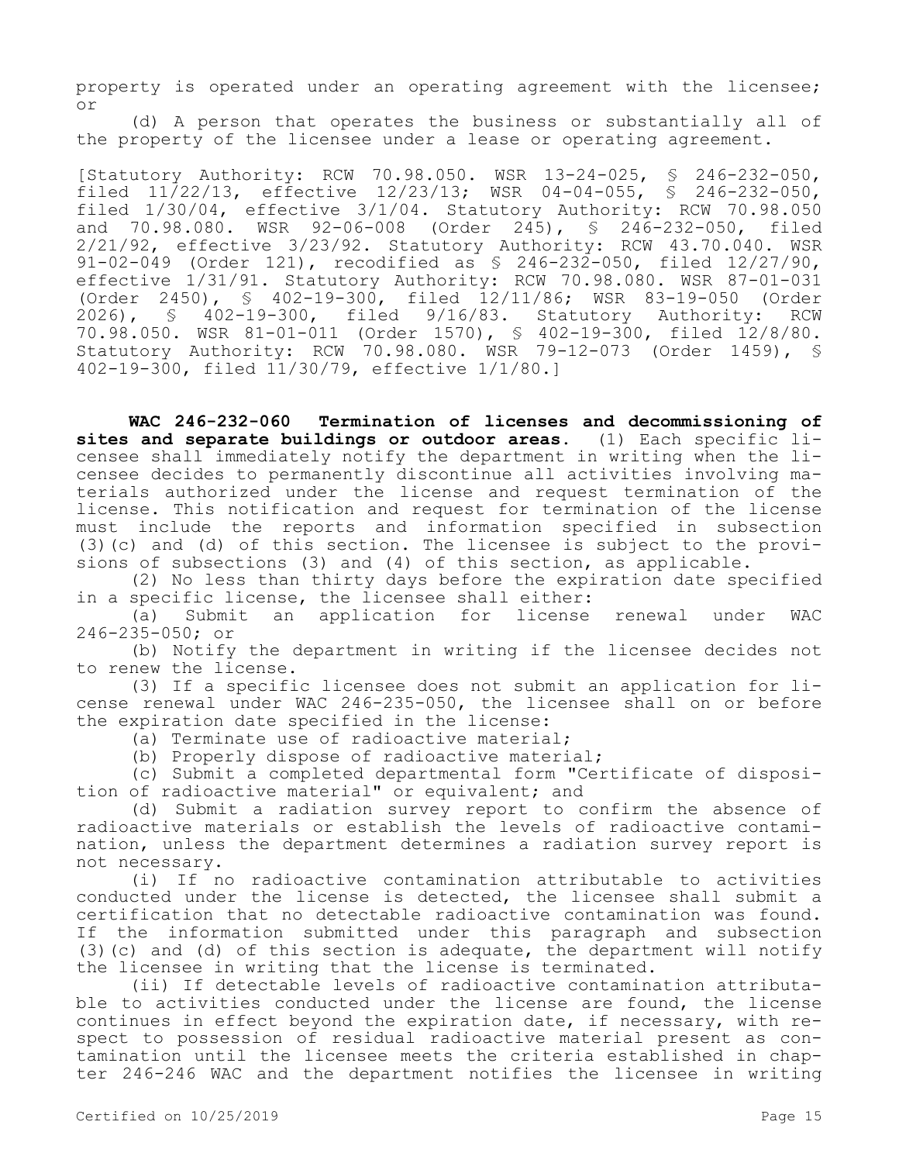property is operated under an operating agreement with the licensee; or

(d) A person that operates the business or substantially all of the property of the licensee under a lease or operating agreement.

[Statutory Authority: RCW 70.98.050. WSR 13-24-025, § 246-232-050, filed 11/22/13, effective 12/23/13; WSR 04-04-055, § 246-232-050, filed  $1/30/04$ , effective  $3/1/04$ . Statutory Authority: RCW 70.98.050<br>and 70.98.080. WSR 92-06-008 (Order 245), § 246-232-050, filed and  $70.98.080$ . WSR  $92-06-008$  (Order  $245$ ), §  $246-232-050$ , 2/21/92, effective 3/23/92. Statutory Authority: RCW 43.70.040. WSR 91-02-049 (Order 121), recodified as § 246-232-050, filed 12/27/90, effective 1/31/91. Statutory Authority: RCW 70.98.080. WSR 87-01-031 (Order 2450), § 402-19-300, filed 12/11/86; WSR 83-19-050 (Order<br>2026), § 402-19-300, filed 9/16/83. Statutory Authority: RCW 2026), § 402-19-300, filed 9/16/83. Statutory Authority: RCW 70.98.050. WSR 81-01-011 (Order 1570), § 402-19-300, filed 12/8/80. Statutory Authority: RCW 70.98.080. WSR 79-12-073 (Order 1459), § 402-19-300, filed 11/30/79, effective 1/1/80.]

**WAC 246-232-060 Termination of licenses and decommissioning of sites and separate buildings or outdoor areas.** (1) Each specific licensee shall immediately notify the department in writing when the licensee decides to permanently discontinue all activities involving materials authorized under the license and request termination of the license. This notification and request for termination of the license must include the reports and information specified in subsection (3)(c) and (d) of this section. The licensee is subject to the provisions of subsections (3) and (4) of this section, as applicable.

(2) No less than thirty days before the expiration date specified in a specific license, the licensee shall either:

(a) Submit an application for license renewal under WAC 246-235-050; or

(b) Notify the department in writing if the licensee decides not to renew the license.

(3) If a specific licensee does not submit an application for license renewal under WAC 246-235-050, the licensee shall on or before the expiration date specified in the license:

(a) Terminate use of radioactive material;

(b) Properly dispose of radioactive material;

(c) Submit a completed departmental form "Certificate of disposition of radioactive material" or equivalent; and

(d) Submit a radiation survey report to confirm the absence of radioactive materials or establish the levels of radioactive contamination, unless the department determines a radiation survey report is not necessary.

(i) If no radioactive contamination attributable to activities conducted under the license is detected, the licensee shall submit a certification that no detectable radioactive contamination was found. If the information submitted under this paragraph and subsection (3)(c) and (d) of this section is adequate, the department will notify the licensee in writing that the license is terminated.

(ii) If detectable levels of radioactive contamination attributable to activities conducted under the license are found, the license continues in effect beyond the expiration date, if necessary, with respect to possession of residual radioactive material present as contamination until the licensee meets the criteria established in chapter 246-246 WAC and the department notifies the licensee in writing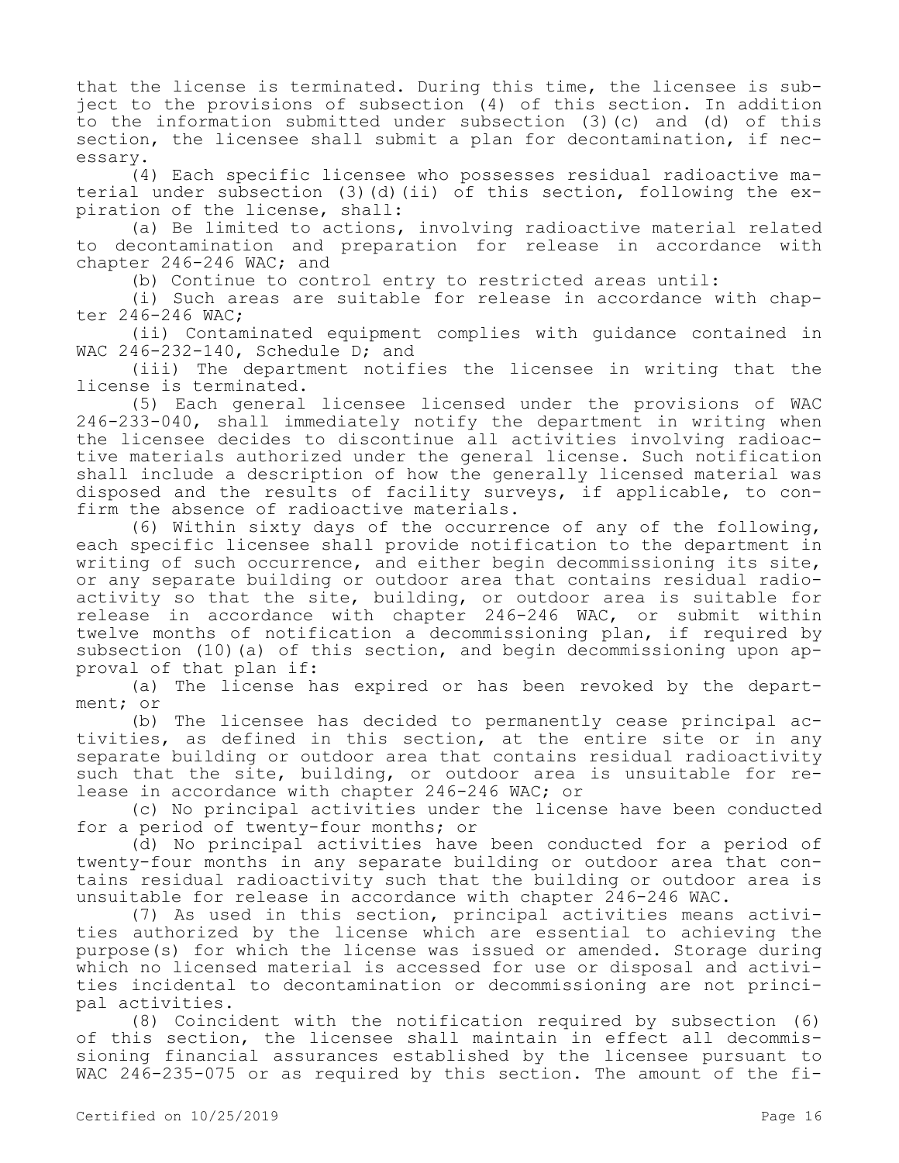that the license is terminated. During this time, the licensee is subject to the provisions of subsection (4) of this section. In addition to the information submitted under subsection (3)(c) and (d) of this section, the licensee shall submit a plan for decontamination, if necessary.

(4) Each specific licensee who possesses residual radioactive material under subsection (3)(d)(ii) of this section, following the expiration of the license, shall:

(a) Be limited to actions, involving radioactive material related to decontamination and preparation for release in accordance with chapter 246-246 WAC; and

(b) Continue to control entry to restricted areas until:

(i) Such areas are suitable for release in accordance with chapter 246-246 WAC;

(ii) Contaminated equipment complies with guidance contained in WAC 246-232-140, Schedule D; and

(iii) The department notifies the licensee in writing that the license is terminated.

(5) Each general licensee licensed under the provisions of WAC 246-233-040, shall immediately notify the department in writing when the licensee decides to discontinue all activities involving radioactive materials authorized under the general license. Such notification shall include a description of how the generally licensed material was disposed and the results of facility surveys, if applicable, to confirm the absence of radioactive materials.

(6) Within sixty days of the occurrence of any of the following, each specific licensee shall provide notification to the department in writing of such occurrence, and either begin decommissioning its site, or any separate building or outdoor area that contains residual radioactivity so that the site, building, or outdoor area is suitable for release in accordance with chapter 246-246 WAC, or submit within twelve months of notification a decommissioning plan, if required by subsection (10)(a) of this section, and begin decommissioning upon approval of that plan if:

(a) The license has expired or has been revoked by the department; or

(b) The licensee has decided to permanently cease principal activities, as defined in this section, at the entire site or in any separate building or outdoor area that contains residual radioactivity such that the site, building, or outdoor area is unsuitable for release in accordance with chapter 246-246 WAC; or

(c) No principal activities under the license have been conducted for a period of twenty-four months; or

(d) No principal activities have been conducted for a period of twenty-four months in any separate building or outdoor area that contains residual radioactivity such that the building or outdoor area is unsuitable for release in accordance with chapter 246-246 WAC.

(7) As used in this section, principal activities means activities authorized by the license which are essential to achieving the purpose(s) for which the license was issued or amended. Storage during which no licensed material is accessed for use or disposal and activities incidental to decontamination or decommissioning are not principal activities.

(8) Coincident with the notification required by subsection (6) of this section, the licensee shall maintain in effect all decommissioning financial assurances established by the licensee pursuant to WAC 246-235-075 or as required by this section. The amount of the fi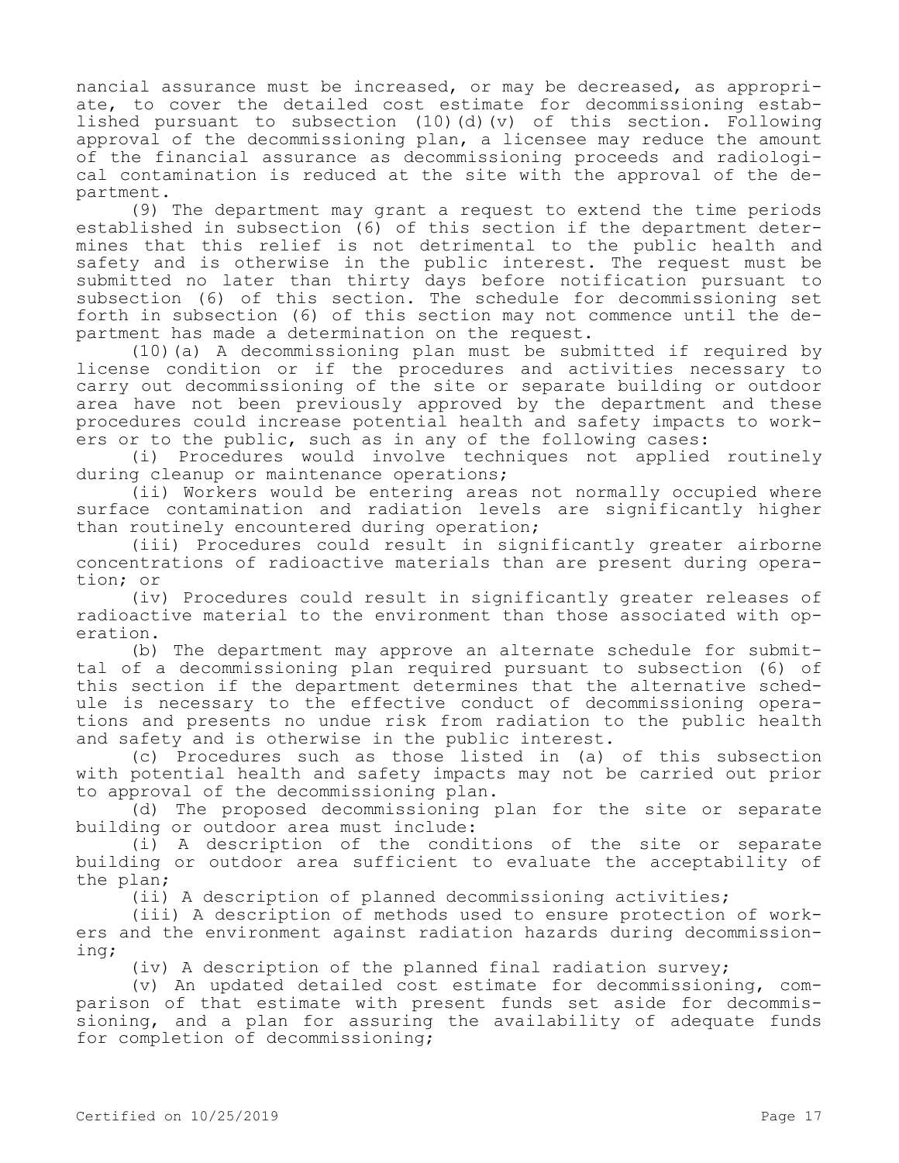nancial assurance must be increased, or may be decreased, as appropriate, to cover the detailed cost estimate for decommissioning established pursuant to subsection (10)(d)(v) of this section. Following approval of the decommissioning plan, a licensee may reduce the amount of the financial assurance as decommissioning proceeds and radiological contamination is reduced at the site with the approval of the department.

(9) The department may grant a request to extend the time periods established in subsection (6) of this section if the department determines that this relief is not detrimental to the public health and safety and is otherwise in the public interest. The request must be submitted no later than thirty days before notification pursuant to subsection (6) of this section. The schedule for decommissioning set forth in subsection (6) of this section may not commence until the department has made a determination on the request.

(10)(a) A decommissioning plan must be submitted if required by license condition or if the procedures and activities necessary to carry out decommissioning of the site or separate building or outdoor area have not been previously approved by the department and these procedures could increase potential health and safety impacts to workers or to the public, such as in any of the following cases:

(i) Procedures would involve techniques not applied routinely during cleanup or maintenance operations;

(ii) Workers would be entering areas not normally occupied where surface contamination and radiation levels are significantly higher than routinely encountered during operation;

(iii) Procedures could result in significantly greater airborne concentrations of radioactive materials than are present during operation; or

(iv) Procedures could result in significantly greater releases of radioactive material to the environment than those associated with operation.

(b) The department may approve an alternate schedule for submittal of a decommissioning plan required pursuant to subsection (6) of this section if the department determines that the alternative schedule is necessary to the effective conduct of decommissioning operations and presents no undue risk from radiation to the public health and safety and is otherwise in the public interest.

(c) Procedures such as those listed in (a) of this subsection with potential health and safety impacts may not be carried out prior to approval of the decommissioning plan.

(d) The proposed decommissioning plan for the site or separate building or outdoor area must include:

(i) A description of the conditions of the site or separate building or outdoor area sufficient to evaluate the acceptability of the plan;

(ii) A description of planned decommissioning activities;

(iii) A description of methods used to ensure protection of workers and the environment against radiation hazards during decommissioning;

(iv) A description of the planned final radiation survey;

(v) An updated detailed cost estimate for decommissioning, comparison of that estimate with present funds set aside for decommissioning, and a plan for assuring the availability of adequate funds for completion of decommissioning;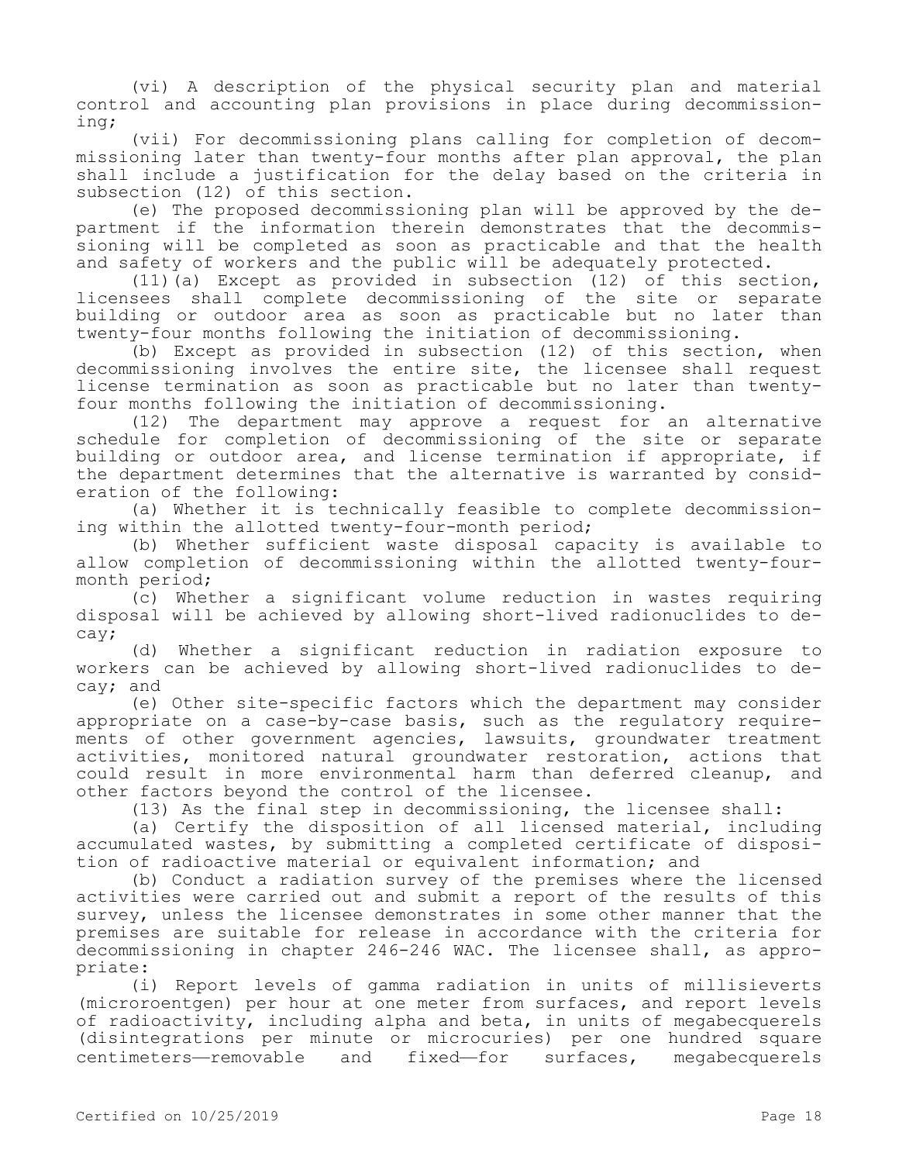(vi) A description of the physical security plan and material control and accounting plan provisions in place during decommissioning;

(vii) For decommissioning plans calling for completion of decommissioning later than twenty-four months after plan approval, the plan shall include a justification for the delay based on the criteria in subsection (12) of this section.

(e) The proposed decommissioning plan will be approved by the department if the information therein demonstrates that the decommissioning will be completed as soon as practicable and that the health and safety of workers and the public will be adequately protected.

(11)(a) Except as provided in subsection (12) of this section, licensees shall complete decommissioning of the site or separate building or outdoor area as soon as practicable but no later than twenty-four months following the initiation of decommissioning.

(b) Except as provided in subsection (12) of this section, when decommissioning involves the entire site, the licensee shall request license termination as soon as practicable but no later than twentyfour months following the initiation of decommissioning.

(12) The department may approve a request for an alternative schedule for completion of decommissioning of the site or separate building or outdoor area, and license termination if appropriate, if the department determines that the alternative is warranted by consideration of the following:

(a) Whether it is technically feasible to complete decommissioning within the allotted twenty-four-month period;

(b) Whether sufficient waste disposal capacity is available to allow completion of decommissioning within the allotted twenty-fourmonth period;

(c) Whether a significant volume reduction in wastes requiring disposal will be achieved by allowing short-lived radionuclides to decay;

(d) Whether a significant reduction in radiation exposure to workers can be achieved by allowing short-lived radionuclides to decay; and

(e) Other site-specific factors which the department may consider appropriate on a case-by-case basis, such as the regulatory requirements of other government agencies, lawsuits, groundwater treatment activities, monitored natural groundwater restoration, actions that could result in more environmental harm than deferred cleanup, and other factors beyond the control of the licensee.

(13) As the final step in decommissioning, the licensee shall:

(a) Certify the disposition of all licensed material, including accumulated wastes, by submitting a completed certificate of disposition of radioactive material or equivalent information; and

(b) Conduct a radiation survey of the premises where the licensed activities were carried out and submit a report of the results of this survey, unless the licensee demonstrates in some other manner that the premises are suitable for release in accordance with the criteria for decommissioning in chapter 246-246 WAC. The licensee shall, as appropriate:

(i) Report levels of gamma radiation in units of millisieverts (microroentgen) per hour at one meter from surfaces, and report levels of radioactivity, including alpha and beta, in units of megabecquerels (disintegrations per minute or microcuries) per one hundred square centimeters—removable and fixed—for surfaces, megabecquerels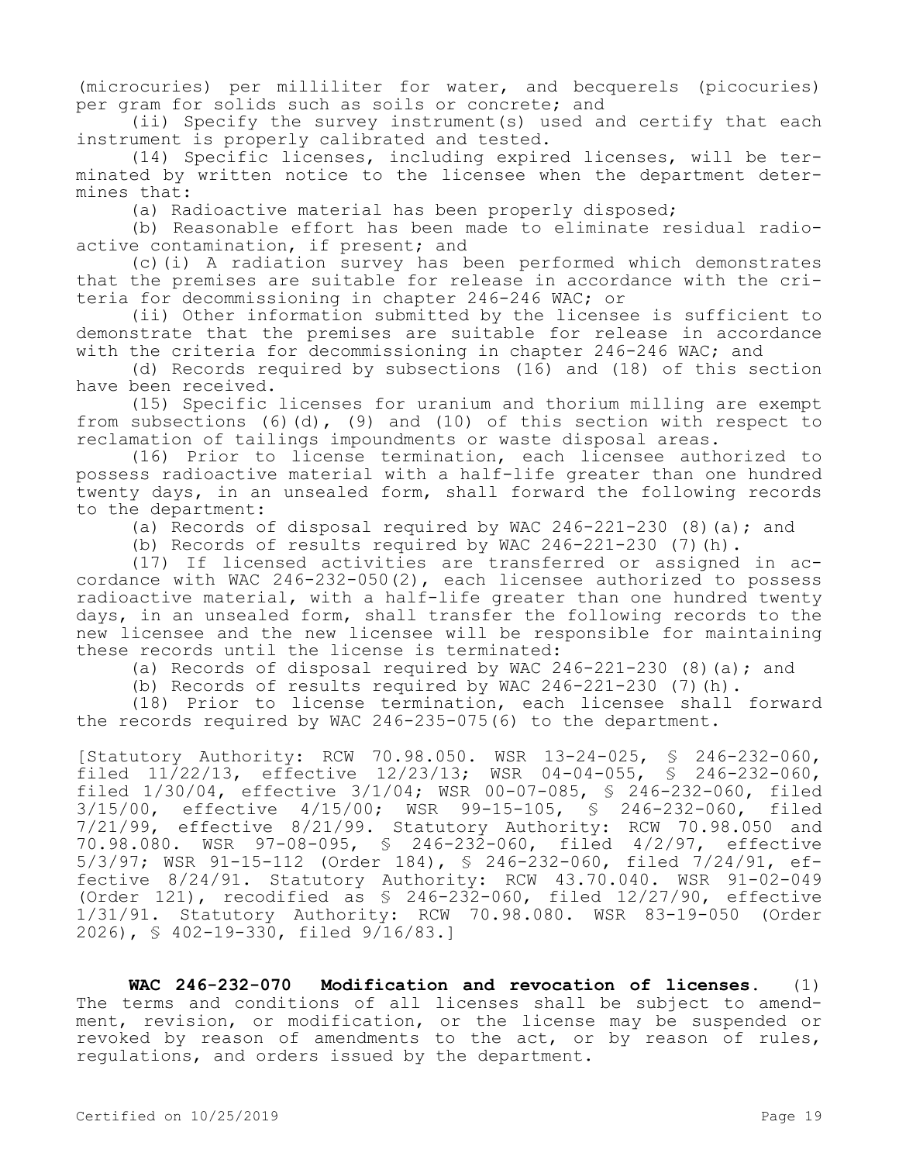(microcuries) per milliliter for water, and becquerels (picocuries) per gram for solids such as soils or concrete; and

(ii) Specify the survey instrument(s) used and certify that each instrument is properly calibrated and tested.

(14) Specific licenses, including expired licenses, will be terminated by written notice to the licensee when the department determines that:

(a) Radioactive material has been properly disposed;

(b) Reasonable effort has been made to eliminate residual radioactive contamination, if present; and

(c)(i) A radiation survey has been performed which demonstrates that the premises are suitable for release in accordance with the criteria for decommissioning in chapter 246-246 WAC; or

(ii) Other information submitted by the licensee is sufficient to demonstrate that the premises are suitable for release in accordance with the criteria for decommissioning in chapter 246-246 WAC; and

(d) Records required by subsections (16) and (18) of this section have been received.

(15) Specific licenses for uranium and thorium milling are exempt from subsections  $(6)(d)$ ,  $(9)$  and  $(10)$  of this section with respect to reclamation of tailings impoundments or waste disposal areas.

(16) Prior to license termination, each licensee authorized to possess radioactive material with a half-life greater than one hundred twenty days, in an unsealed form, shall forward the following records to the department:

(a) Records of disposal required by WAC  $246-221-230$  (8)(a); and

(b) Records of results required by WAC  $246-221-230$  (7)(h).

(17) If licensed activities are transferred or assigned in accordance with WAC 246-232-050(2), each licensee authorized to possess radioactive material, with a half-life greater than one hundred twenty days, in an unsealed form, shall transfer the following records to the new licensee and the new licensee will be responsible for maintaining these records until the license is terminated:

(a) Records of disposal required by WAC  $246-221-230$  (8)(a); and

(b) Records of results required by WAC  $246-221-230$  (7)(h).

(18) Prior to license termination, each licensee shall forward the records required by WAC 246-235-075(6) to the department.

[Statutory Authority: RCW 70.98.050. WSR 13-24-025, § 246-232-060, filed 11/22/13, effective 12/23/13; WSR 04-04-055, § 246-232-060, filed 1/30/04, effective 3/1/04; WSR 00-07-085, § 246-232-060, filed 3/15/00, effective 4/15/00; WSR 99-15-105, § 246-232-060, filed 7/21/99, effective 8/21/99. Statutory Authority: RCW 70.98.050 and 70.98.080. WSR 97-08-095, § 246-232-060, filed 4/2/97, effective 5/3/97; WSR 91-15-112 (Order 184), § 246-232-060, filed 7/24/91, effective 8/24/91. Statutory Authority: RCW 43.70.040. WSR 91-02-049 (Order 121), recodified as § 246-232-060, filed 12/27/90, effective 1/31/91. Statutory Authority: RCW 70.98.080. WSR 83-19-050 (Order 2026), § 402-19-330, filed 9/16/83.]

**WAC 246-232-070 Modification and revocation of licenses.** (1) The terms and conditions of all licenses shall be subject to amendment, revision, or modification, or the license may be suspended or revoked by reason of amendments to the act, or by reason of rules, regulations, and orders issued by the department.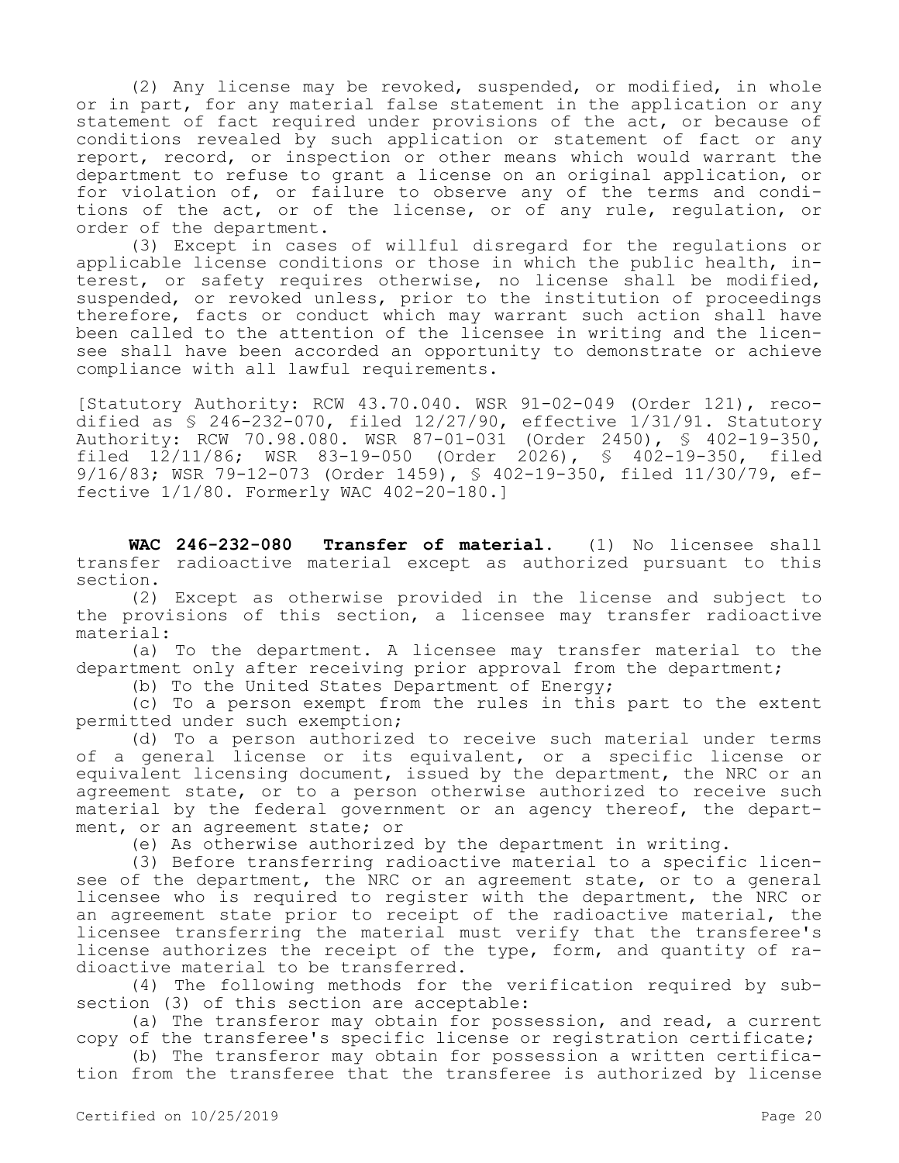(2) Any license may be revoked, suspended, or modified, in whole or in part, for any material false statement in the application or any statement of fact required under provisions of the act, or because of conditions revealed by such application or statement of fact or any report, record, or inspection or other means which would warrant the department to refuse to grant a license on an original application, or for violation of, or failure to observe any of the terms and conditions of the act, or of the license, or of any rule, regulation, or order of the department.

(3) Except in cases of willful disregard for the regulations or applicable license conditions or those in which the public health, interest, or safety requires otherwise, no license shall be modified, suspended, or revoked unless, prior to the institution of proceedings therefore, facts or conduct which may warrant such action shall have been called to the attention of the licensee in writing and the licensee shall have been accorded an opportunity to demonstrate or achieve compliance with all lawful requirements.

[Statutory Authority: RCW 43.70.040. WSR 91-02-049 (Order 121), recodified as  $\frac{1}{2}$  246-232-070, filed 12/27/90, effective 1/31/91. Statutory Authority: RCW 70.98.080. WSR 87-01-031 (Order 2450), § 402-19-350, filed  $12/11/86$ ; WSR 83-19-050 (Order 2026), § 402-19-350, filed 9/16/83; WSR 79-12-073 (Order 1459), § 402-19-350, filed 11/30/79, effective 1/1/80. Formerly WAC 402-20-180.]

**WAC 246-232-080 Transfer of material.** (1) No licensee shall transfer radioactive material except as authorized pursuant to this section.

(2) Except as otherwise provided in the license and subject to the provisions of this section, a licensee may transfer radioactive material:

(a) To the department. A licensee may transfer material to the department only after receiving prior approval from the department;

(b) To the United States Department of Energy;

(c) To a person exempt from the rules in this part to the extent permitted under such exemption;

(d) To a person authorized to receive such material under terms of a general license or its equivalent, or a specific license or equivalent licensing document, issued by the department, the NRC or an agreement state, or to a person otherwise authorized to receive such material by the federal government or an agency thereof, the department, or an agreement state; or

(e) As otherwise authorized by the department in writing.

(3) Before transferring radioactive material to a specific licensee of the department, the NRC or an agreement state, or to a general licensee who is required to register with the department, the NRC or an agreement state prior to receipt of the radioactive material, the licensee transferring the material must verify that the transferee's license authorizes the receipt of the type, form, and quantity of radioactive material to be transferred.

(4) The following methods for the verification required by subsection (3) of this section are acceptable:

(a) The transferor may obtain for possession, and read, a current copy of the transferee's specific license or registration certificate;

(b) The transferor may obtain for possession a written certification from the transferee that the transferee is authorized by license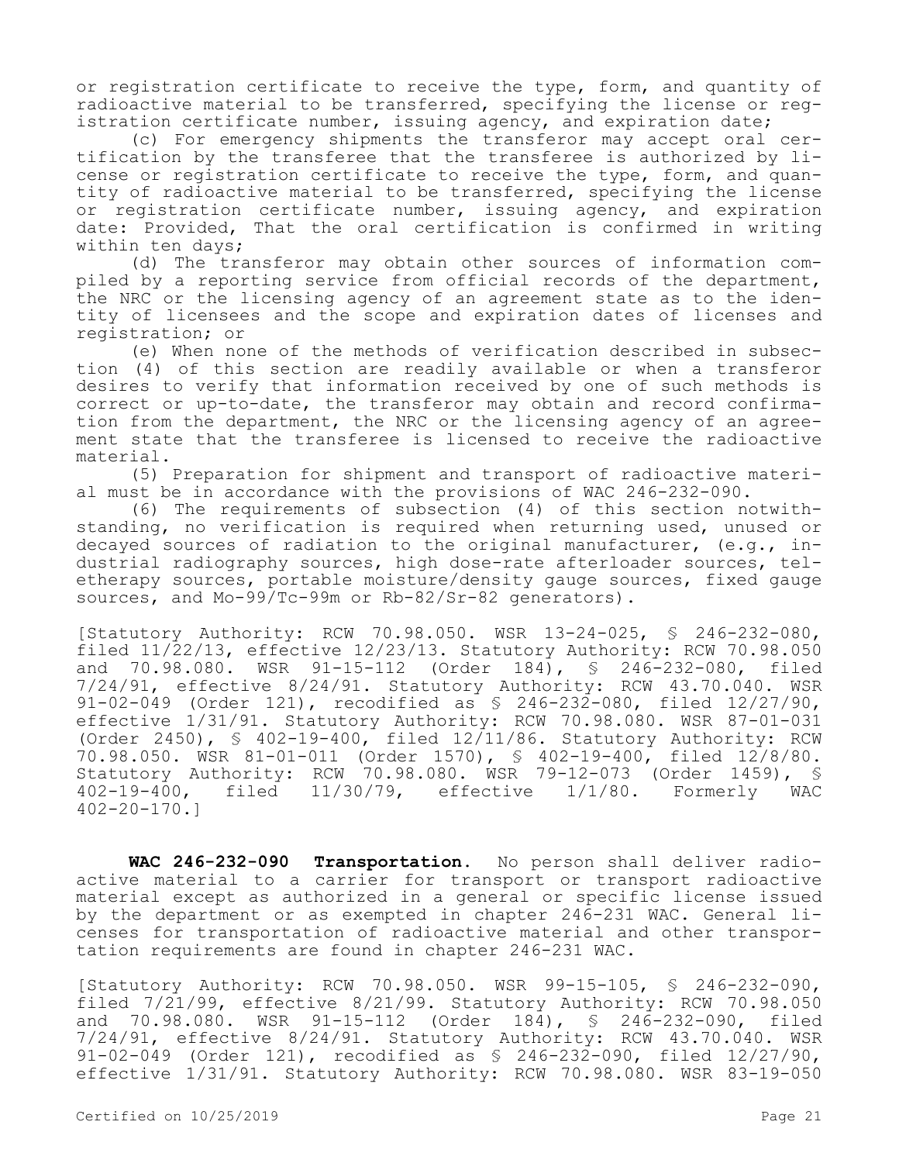or registration certificate to receive the type, form, and quantity of radioactive material to be transferred, specifying the license or registration certificate number, issuing agency, and expiration date;

(c) For emergency shipments the transferor may accept oral certification by the transferee that the transferee is authorized by license or registration certificate to receive the type, form, and quantity of radioactive material to be transferred, specifying the license or registration certificate number, issuing agency, and expiration date: Provided, That the oral certification is confirmed in writing within ten days;

(d) The transferor may obtain other sources of information compiled by a reporting service from official records of the department, the NRC or the licensing agency of an agreement state as to the identity of licensees and the scope and expiration dates of licenses and registration; or

(e) When none of the methods of verification described in subsection (4) of this section are readily available or when a transferor desires to verify that information received by one of such methods is correct or up-to-date, the transferor may obtain and record confirmation from the department, the NRC or the licensing agency of an agreement state that the transferee is licensed to receive the radioactive material.

(5) Preparation for shipment and transport of radioactive material must be in accordance with the provisions of WAC 246-232-090.

(6) The requirements of subsection (4) of this section notwithstanding, no verification is required when returning used, unused or decayed sources of radiation to the original manufacturer,  $(e,q, in-)$ dustrial radiography sources, high dose-rate afterloader sources, teletherapy sources, portable moisture/density gauge sources, fixed gauge sources, and Mo-99/Tc-99m or Rb-82/Sr-82 generators).

[Statutory Authority: RCW 70.98.050. WSR 13-24-025, § 246-232-080, filed 11/22/13, effective 12/23/13. Statutory Authority: RCW 70.98.050 and 70.98.080. WSR 91-15-112 (Order 184), § 246-232-080, filed 7/24/91, effective 8/24/91. Statutory Authority: RCW 43.70.040. WSR 91-02-049 (Order 121), recodified as § 246-232-080, filed 12/27/90, effective 1/31/91. Statutory Authority: RCW 70.98.080. WSR 87-01-031 (Order 2450), § 402-19-400, filed 12/11/86. Statutory Authority: RCW 70.98.050. WSR 81-01-011 (Order 1570), § 402-19-400, filed 12/8/80. Statutory Authority: RCW 70.98.080. WSR 79-12-073 (Order 1459), § 402-19-400, filed 11/30/79, effective 1/1/80. Formerly WAC 402-20-170.]

**WAC 246-232-090 Transportation.** No person shall deliver radioactive material to a carrier for transport or transport radioactive material except as authorized in a general or specific license issued by the department or as exempted in chapter 246-231 WAC. General licenses for transportation of radioactive material and other transportation requirements are found in chapter 246-231 WAC.

[Statutory Authority: RCW 70.98.050. WSR 99-15-105, § 246-232-090, filed 7/21/99, effective 8/21/99. Statutory Authority: RCW 70.98.050 and 70.98.080. WSR 91-15-112 (Order 184), § 246-232-090, filed 7/24/91, effective 8/24/91. Statutory Authority: RCW 43.70.040. WSR 91-02-049 (Order 121), recodified as § 246-232-090, filed 12/27/90, effective 1/31/91. Statutory Authority: RCW 70.98.080. WSR 83-19-050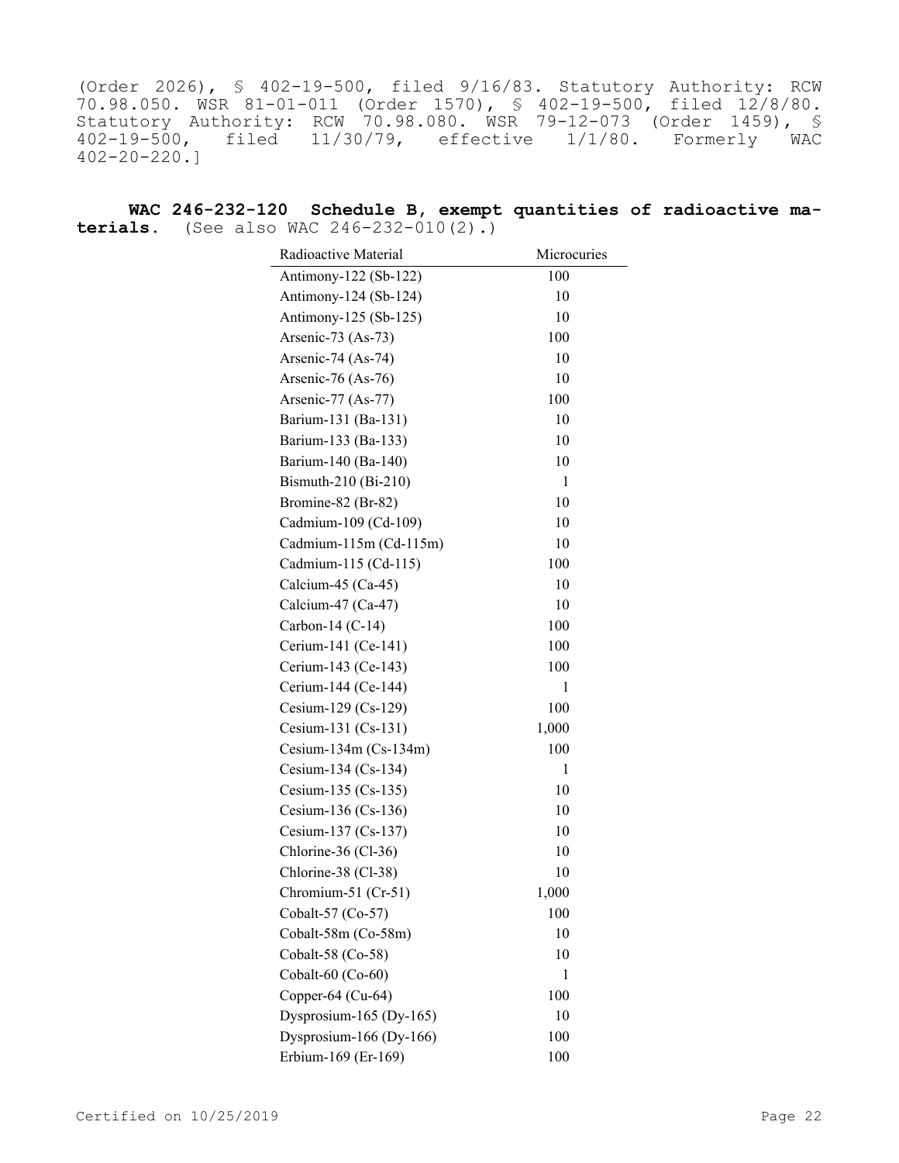(Order 2026), § 402-19-500, filed 9/16/83. Statutory Authority: RCW 70.98.050. WSR 81-01-011 (Order 1570), § 402-19-500, filed 12/8/80. Statutory Authority: RCW 70.98.080. WSR 79-12-073 (Order 1459), § 402-19-500, filed 11/30/79, effective 1/1/80. Formerly WAC 402-20-220.]

**WAC 246-232-120 Schedule B, exempt quantities of radioactive materials.** (See also WAC  $246 - 232 - 010(2)$ .)

| Radioactive Material    | Microcuries |
|-------------------------|-------------|
| Antimony-122 (Sb-122)   | 100         |
| Antimony-124 (Sb-124)   | 10          |
| Antimony-125 (Sb-125)   | 10          |
| Arsenic-73 (As-73)      | 100         |
| Arsenic-74 (As-74)      | 10          |
| Arsenic-76 (As-76)      | 10          |
| Arsenic-77 (As-77)      | 100         |
| Barium-131 (Ba-131)     | 10          |
| Barium-133 (Ba-133)     | 10          |
| Barium-140 (Ba-140)     | 10          |
| Bismuth-210 (Bi-210)    | 1           |
| Bromine-82 (Br-82)      | 10          |
| Cadmium-109 (Cd-109)    | 10          |
| Cadmium-115m (Cd-115m)  | 10          |
| Cadmium-115 (Cd-115)    | 100         |
| Calcium-45 (Ca-45)      | 10          |
| Calcium-47 (Ca-47)      | 10          |
| Carbon-14 $(C-14)$      | 100         |
| Cerium-141 (Ce-141)     | 100         |
| Cerium-143 (Ce-143)     | 100         |
| Cerium-144 (Ce-144)     | 1           |
| Cesium-129 (Cs-129)     | 100         |
| Cesium-131 (Cs-131)     | 1,000       |
| Cesium-134m $(Cs-134m)$ | 100         |
| Cesium-134 (Cs-134)     | 1           |
| Cesium-135 (Cs-135)     | 10          |
| Cesium-136 (Cs-136)     | 10          |
| Cesium-137 (Cs-137)     | 10          |
| Chlorine-36 (Cl-36)     | 10          |
| Chlorine-38 (Cl-38)     | 10          |
| Chromium-51 (Cr-51)     | 1,000       |
| Cobalt-57 (Co-57)       | 100         |
| Cobalt-58m (Co-58m)     | 10          |
| Cobalt-58 (Co-58)       | 10          |
| Cobalt-60 (Co-60)       | 1           |
| Copper-64 (Cu-64)       | 100         |
| Dysprosium-165 (Dy-165) | 10          |
| Dysprosium-166 (Dy-166) | 100         |
| Erbium-169 (Er-169)     | 100         |
|                         |             |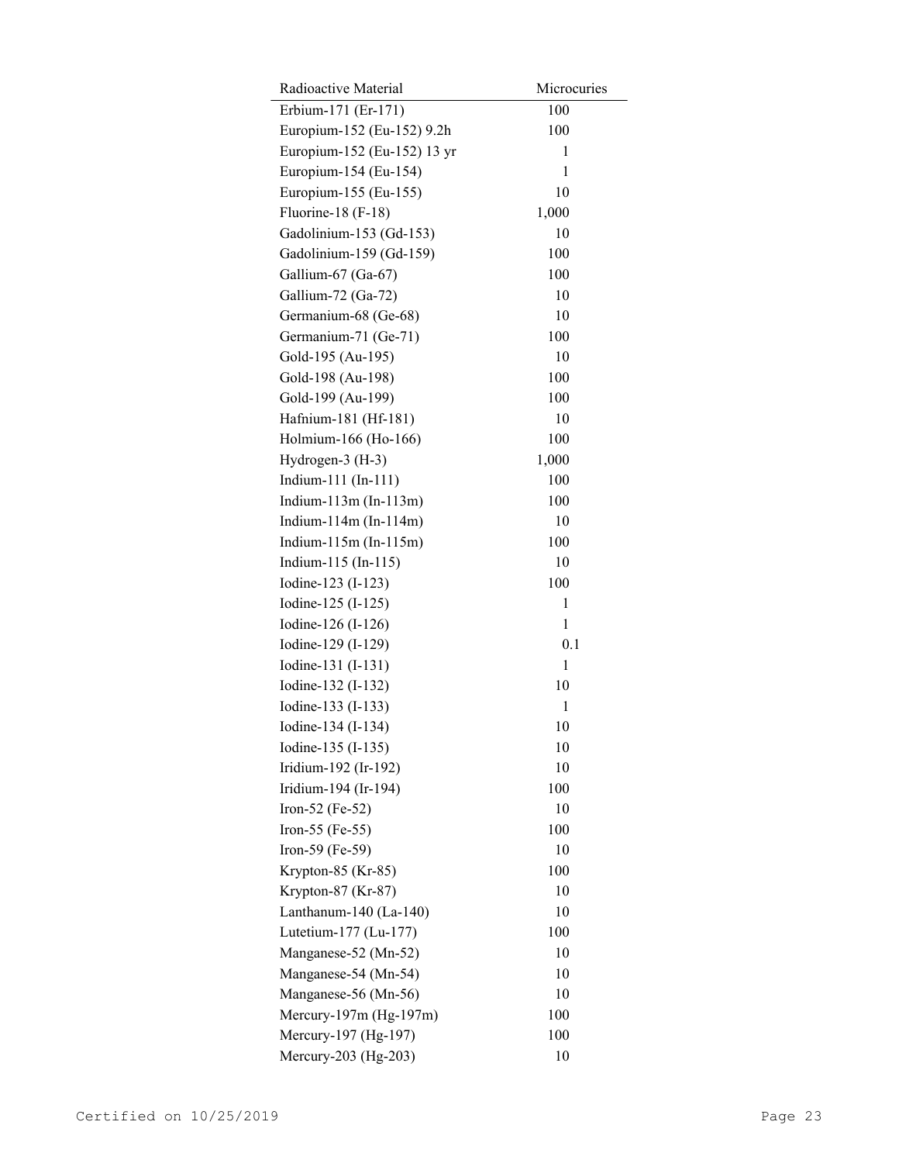| Radioactive Material         | Microcuries |
|------------------------------|-------------|
| Erbium-171 (Er-171)          | 100         |
| Europium-152 (Eu-152) 9.2h   | 100         |
| Europium-152 (Eu-152) 13 yr  | 1           |
| Europium-154 (Eu-154)        | 1           |
| Europium-155 (Eu-155)        | 10          |
| Fluorine-18 (F-18)           | 1,000       |
| Gadolinium-153 (Gd-153)      | 10          |
| Gadolinium-159 (Gd-159)      | 100         |
| Gallium-67 (Ga-67)           | 100         |
| Gallium-72 (Ga-72)           | 10          |
| Germanium-68 (Ge-68)         | 10          |
| Germanium-71 (Ge-71)         | 100         |
| Gold-195 (Au-195)            | 10          |
| Gold-198 (Au-198)            | 100         |
| Gold-199 (Au-199)            | 100         |
| Hafnium-181 (Hf-181)         | 10          |
| Holmium-166 (Ho-166)         | 100         |
| Hydrogen-3 (H-3)             | 1,000       |
| Indium-111 (In-111)          | 100         |
| Indium- $113m$ (In- $113m$ ) | 100         |
| Indium- $114m$ (In- $114m$ ) | 10          |
| Indium- $115m$ (In- $115m$ ) | 100         |
| Indium-115 (In-115)          | 10          |
| Iodine-123 (I-123)           | 100         |
| Iodine-125 (I-125)           | 1           |
| Iodine-126 (I-126)           | 1           |
| Iodine-129 (I-129)           | 0.1         |
| Iodine-131 (I-131)           | 1           |
| Iodine-132 (I-132)           | 10          |
| Iodine-133 (I-133)           | 1           |
| Iodine-134 (I-134)           | 10          |
| Iodine-135 (I-135)           | 10          |
| Iridium-192 (Ir-192)         | 10          |
| Iridium-194 (Ir-194)         | 100         |
| Iron-52 (Fe-52)              | 10          |
| Iron-55 (Fe-55)              | 100         |
| Iron-59 (Fe-59)              | 10          |
| Krypton-85 (Kr-85)           | 100         |
| Krypton-87 (Kr-87)           | 10          |
| Lanthanum-140 (La-140)       | 10          |
| Lutetium-177 (Lu-177)        | 100         |
| Manganese-52 (Mn-52)         | 10          |
| Manganese-54 (Mn-54)         | 10          |
| Manganese-56 (Mn-56)         | 10          |
| Mercury-197m (Hg-197m)       | 100         |
| Mercury-197 (Hg-197)         | 100         |
| Mercury-203 (Hg-203)         | 10          |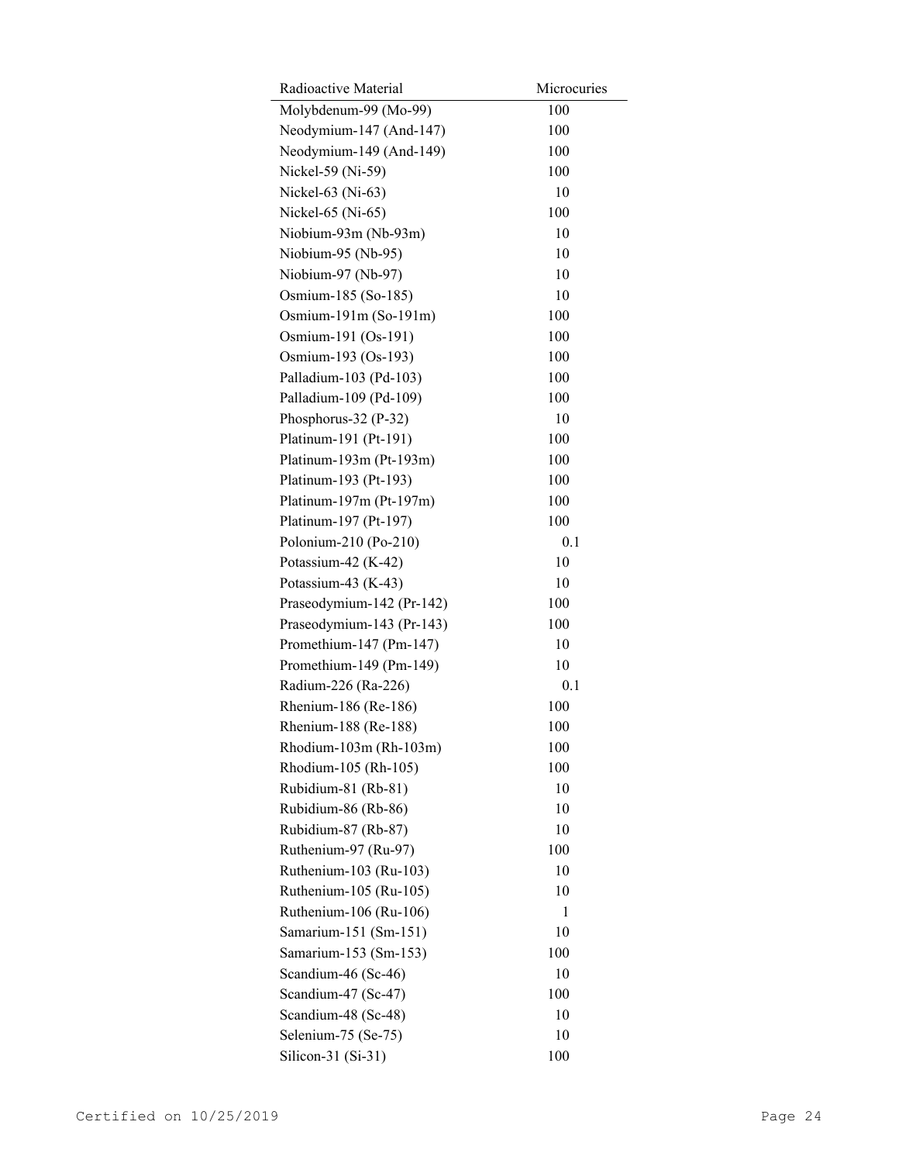| Radioactive Material      | Microcuries |
|---------------------------|-------------|
| Molybdenum-99 (Mo-99)     | 100         |
| Neodymium-147 (And-147)   | 100         |
| Neodymium-149 (And-149)   | 100         |
| Nickel-59 (Ni-59)         | 100         |
| Nickel-63 (Ni-63)         | 10          |
| Nickel-65 (Ni-65)         | 100         |
| Niobium-93m (Nb-93m)      | 10          |
| Niobium-95 (Nb-95)        | 10          |
| Niobium-97 (Nb-97)        | 10          |
| Osmium-185 (So-185)       | 10          |
| Osmium-191m (So-191m)     | 100         |
| Osmium-191 (Os-191)       | 100         |
| Osmium-193 (Os-193)       | 100         |
| Palladium-103 (Pd-103)    | 100         |
| Palladium-109 (Pd-109)    | 100         |
| Phosphorus-32 (P-32)      | 10          |
| Platinum-191 (Pt-191)     | 100         |
| Platinum-193m (Pt-193m)   | 100         |
| Platinum-193 (Pt-193)     | 100         |
| Platinum-197m (Pt-197m)   | 100         |
| Platinum-197 (Pt-197)     | 100         |
| Polonium-210 (Po-210)     | 0.1         |
| Potassium-42 (K-42)       | 10          |
| Potassium-43 (K-43)       | 10          |
| Praseodymium-142 (Pr-142) | 100         |
| Praseodymium-143 (Pr-143) | 100         |
| Promethium-147 (Pm-147)   | 10          |
| Promethium-149 (Pm-149)   | 10          |
| Radium-226 (Ra-226)       | 0.1         |
| Rhenium-186 (Re-186)      | 100         |
| Rhenium-188 (Re-188)      | 100         |
| Rhodium-103m (Rh-103m)    | 100         |
| Rhodium-105 (Rh-105)      | 100         |
| Rubidium-81 (Rb-81)       | 10          |
| Rubidium-86 (Rb-86)       | 10          |
| Rubidium-87 (Rb-87)       | 10          |
| Ruthenium-97 (Ru-97)      | 100         |
| Ruthenium-103 (Ru-103)    | 10          |
| Ruthenium-105 (Ru-105)    | 10          |
| Ruthenium-106 (Ru-106)    | 1           |
| Samarium-151 (Sm-151)     | 10          |
| Samarium-153 (Sm-153)     | 100         |
| Scandium-46 (Sc-46)       | 10          |
| Scandium-47 (Sc-47)       | 100         |
| Scandium-48 (Sc-48)       | 10          |
| Selenium-75 (Se-75)       | 10          |
| Silicon-31 $(Si-31)$      | 100         |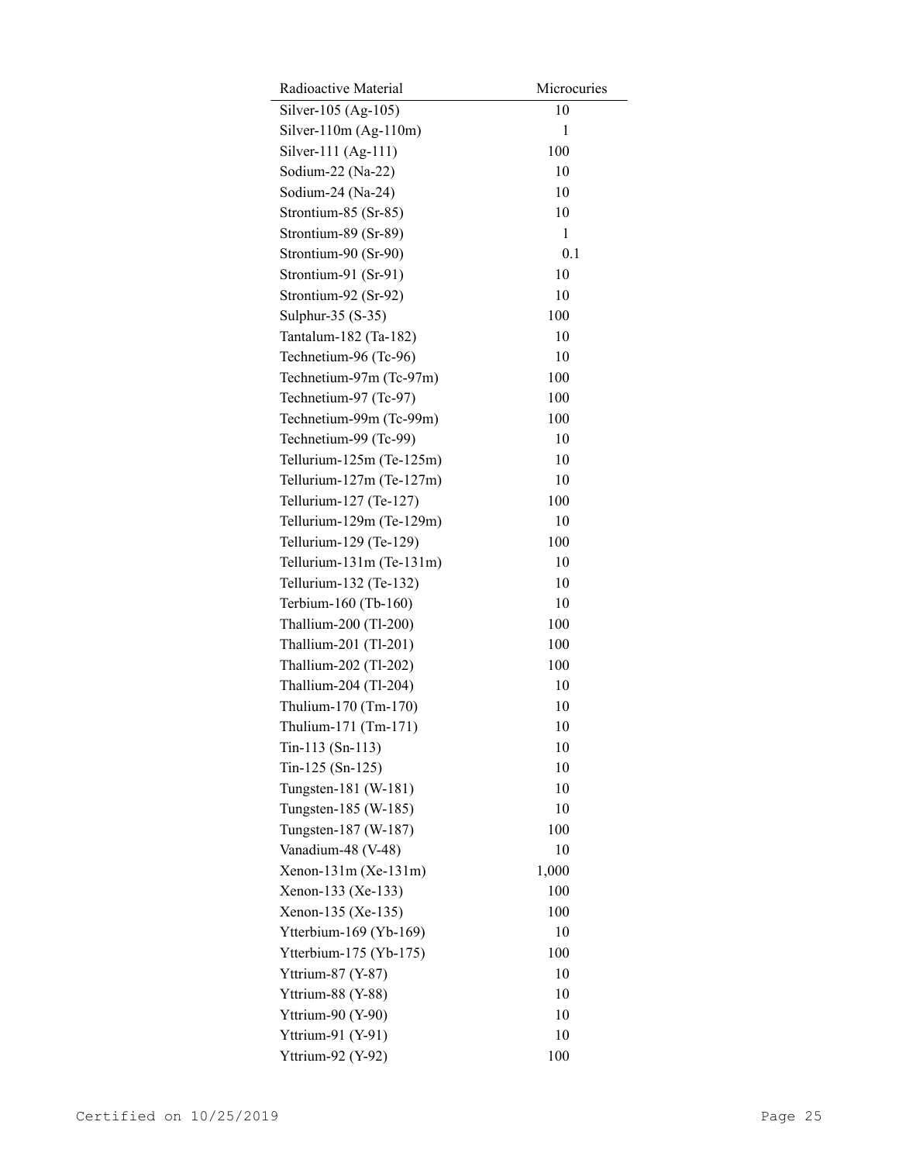| Radioactive Material            | Microcuries |
|---------------------------------|-------------|
| Silver-105 (Ag-105)             | 10          |
| Silver-110 $m(Ag-110m)$         | 1           |
| Silver-111 (Ag-111)             | 100         |
| Sodium-22 (Na-22)               | 10          |
| Sodium-24 (Na-24)               | 10          |
| Strontium-85 (Sr-85)            | 10          |
| Strontium-89 (Sr-89)            | 1           |
| Strontium-90 (Sr-90)            | 0.1         |
| Strontium-91 (Sr-91)            | 10          |
| Strontium-92 (Sr-92)            | 10          |
| Sulphur-35 (S-35)               | 100         |
| Tantalum-182 (Ta-182)           | 10          |
| Technetium-96 (Tc-96)           | 10          |
| Technetium-97m (Tc-97m)         | 100         |
| Technetium-97 (Tc-97)           | 100         |
| Technetium-99m (Tc-99m)         | 100         |
| Technetium-99 (Tc-99)           | 10          |
| Tellurium-125m (Te-125m)        | 10          |
| Tellurium- $127m$ (Te- $127m$ ) | 10          |
| Tellurium-127 (Te-127)          | 100         |
| Tellurium-129m (Te-129m)        | 10          |
| Tellurium-129 (Te-129)          | 100         |
| Tellurium- $131m$ (Te- $131m$ ) | 10          |
| Tellurium-132 (Te-132)          | 10          |
| Terbium-160 (Tb-160)            | 10          |
| Thallium-200 (Tl-200)           | 100         |
| Thallium-201 (Tl-201)           | 100         |
| Thallium-202 (Tl-202)           | 100         |
| Thallium-204 (Tl-204)           | 10          |
| Thulium-170 (Tm-170)            | 10          |
| Thulium-171 (Tm-171)            | 10          |
| $T_{in-113}$ (Sn-113)           | 10          |
| Tin-125 (Sn-125)                | 10          |
| Tungsten-181 (W-181)            | 10          |
| Tungsten-185 (W-185)            | 10          |
| Tungsten-187 (W-187)            | 100         |
| Vanadium-48 (V-48)              | 10          |
| $Xenon-131m (Xe-131m)$          | 1,000       |
| Xenon-133 (Xe-133)              | 100         |
| Xenon-135 (Xe-135)              | 100         |
| Ytterbium-169 (Yb-169)          | 10          |
| Ytterbium-175 (Yb-175)          | 100         |
| Yttrium-87 (Y-87)               | 10          |
| Yttrium-88 (Y-88)               | 10          |
| Yttrium-90 (Y-90)               | 10          |
| Yttrium-91 (Y-91)               | 10          |
| Yttrium-92 (Y-92)               | 100         |
|                                 |             |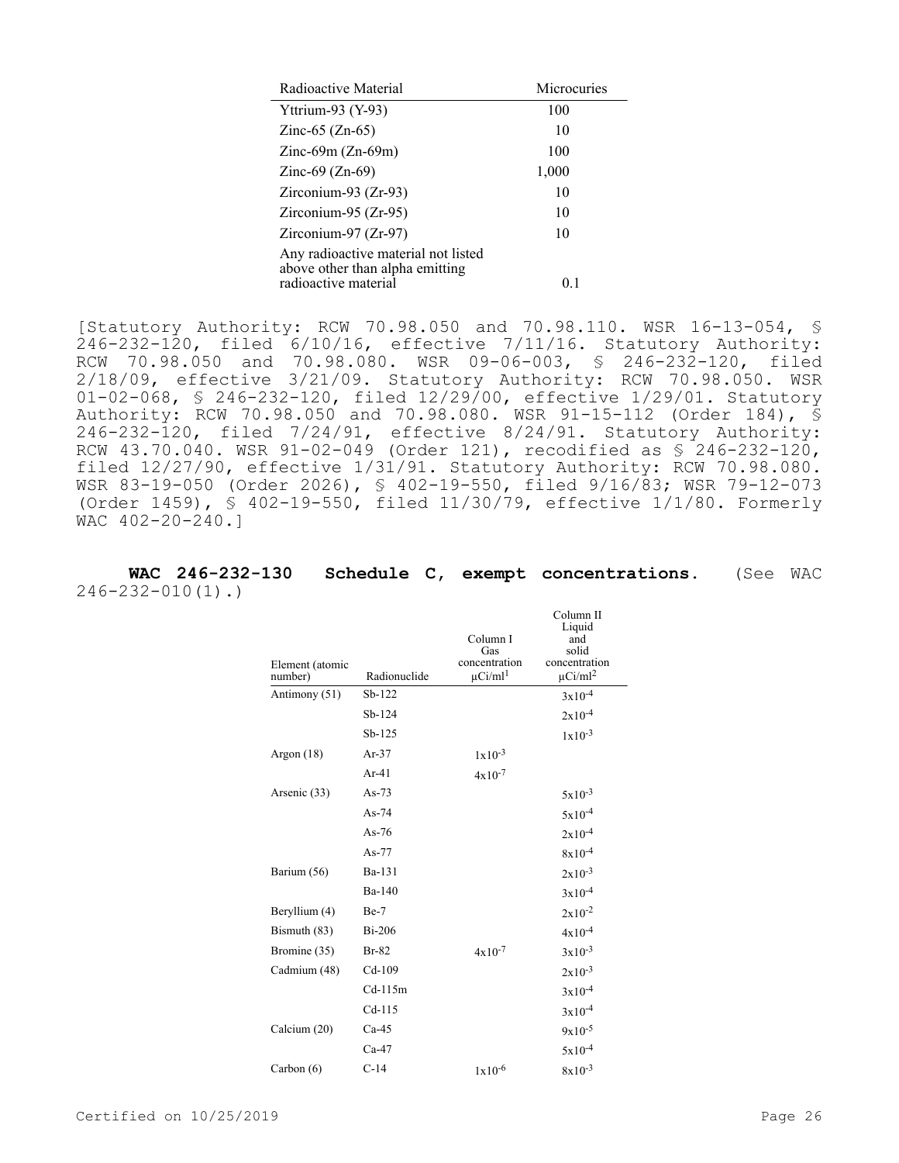| Microcuries |
|-------------|
|             |
|             |
|             |
|             |
|             |
|             |
|             |
|             |
|             |

[Statutory Authority: RCW 70.98.050 and 70.98.110. WSR 16-13-054, § 246-232-120, filed 6/10/16, effective 7/11/16. Statutory Authority: RCW 70.98.050 and 70.98.080. WSR 09-06-003, § 246-232-120, filed 2/18/09, effective 3/21/09. Statutory Authority: RCW 70.98.050. WSR 01-02-068, § 246-232-120, filed 12/29/00, effective 1/29/01. Statutory Authority: RCW 70.98.050 and 70.98.080. WSR 91-15-112 (Order 184), § 246-232-120, filed 7/24/91, effective 8/24/91. Statutory Authority: RCW 43.70.040. WSR 91-02-049 (Order 121), recodified as § 246-232-120, filed 12/27/90, effective 1/31/91. Statutory Authority: RCW 70.98.080. WSR 83-19-050 (Order 2026), § 402-19-550, filed 9/16/83; WSR 79-12-073 (Order 1459), § 402-19-550, filed 11/30/79, effective 1/1/80. Formerly WAC 402-20-240.]

**WAC 246-232-130 Schedule C, exempt concentrations.** (See WAC 246-232-010(1).)

| Element (atomic<br>number) | Radionuclide | Column I<br>Gas<br>concentration<br>$\mu$ Ci/ml <sup>1</sup> | Column <sub>II</sub><br>Liquid<br>and<br>solid<br>concentration<br>$\mu$ Ci/ml <sup>2</sup> |
|----------------------------|--------------|--------------------------------------------------------------|---------------------------------------------------------------------------------------------|
| Antimony (51)              | $Sb-122$     |                                                              | $3x10^{-4}$                                                                                 |
|                            | $Sb-124$     |                                                              | $2x10^{-4}$                                                                                 |
|                            | $Sb-125$     |                                                              | $1 \times 10^{-3}$                                                                          |
| Argon $(18)$               | $Ar-37$      | $1x10^{-3}$                                                  |                                                                                             |
|                            | $Ar-41$      | $4x10^{-7}$                                                  |                                                                                             |
| Arsenic (33)               | $As-73$      |                                                              | $5x10^{-3}$                                                                                 |
|                            | $As-74$      |                                                              | $5x10^{-4}$                                                                                 |
|                            | As- $76$     |                                                              | $2x10^{-4}$                                                                                 |
|                            | $As-77$      |                                                              | $8x10^{-4}$                                                                                 |
| Barium (56)                | Ba-131       |                                                              | $2x10^{-3}$                                                                                 |
|                            | Ba-140       |                                                              | $3x10^{-4}$                                                                                 |
| Beryllium (4)              | $Be-7$       |                                                              | $2x10^{-2}$                                                                                 |
| Bismuth (83)               | $Bi-206$     |                                                              | $4x10^{-4}$                                                                                 |
| Bromine (35)               | $Br-82$      | $4x10^{-7}$                                                  | $3x10^{-3}$                                                                                 |
| Cadmium (48)               | $Cd-109$     |                                                              | $2x10^{-3}$                                                                                 |
|                            | $Cd-115m$    |                                                              | $3x10^{-4}$                                                                                 |
|                            | $Cd-115$     |                                                              | $3x10^{-4}$                                                                                 |
| Calcium (20)               | $Ca-45$      |                                                              | $9x10^{-5}$                                                                                 |
|                            | $Ca-47$      |                                                              | $5x10^{-4}$                                                                                 |
| Carbon $(6)$               | $C-14$       | $1x10^{-6}$                                                  | $8x10^{-3}$                                                                                 |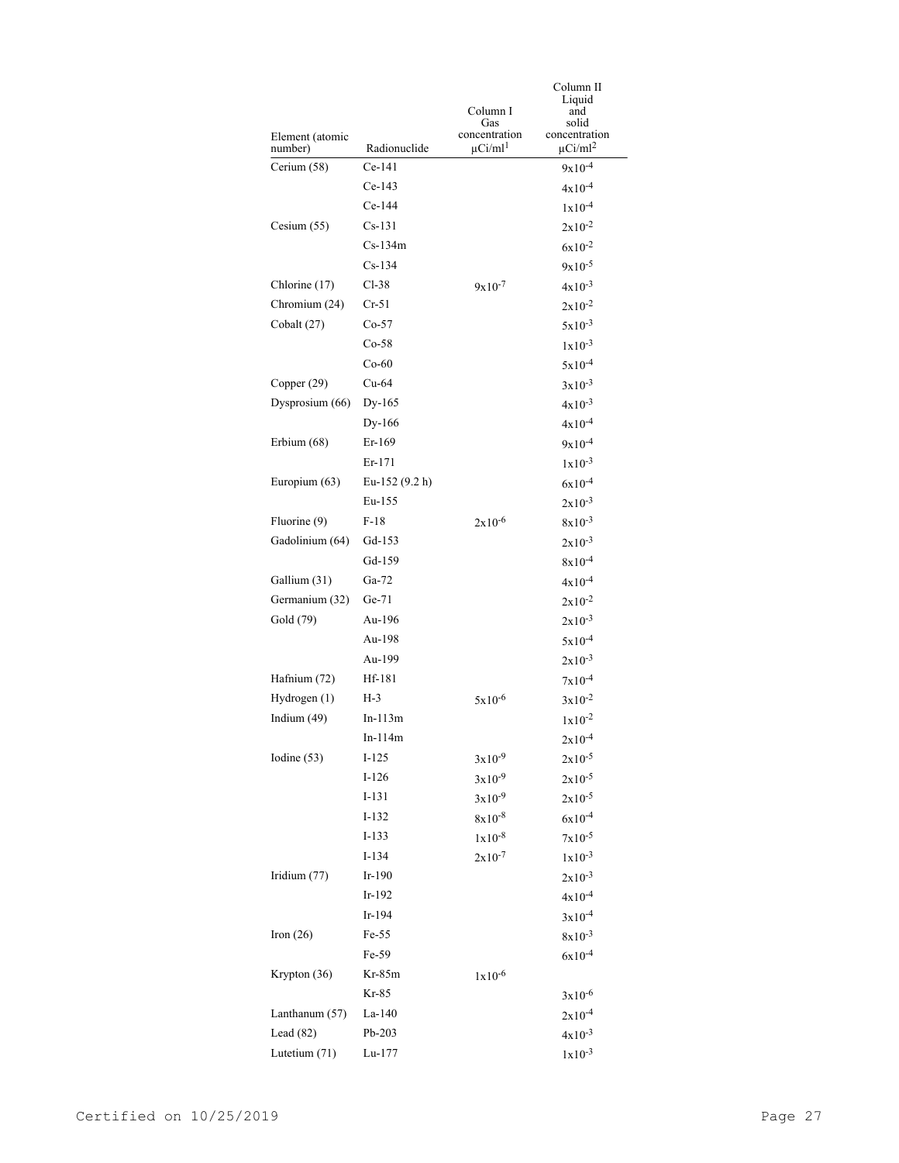|                 |                |                          | Column II<br>Liquid      |
|-----------------|----------------|--------------------------|--------------------------|
|                 |                | Column I                 | and                      |
| Element (atomic |                | Gas<br>concentration     | solid<br>concentration   |
| number)         | Radionuclide   | $\mu$ Ci/ml <sup>1</sup> | $\mu$ Ci/ml <sup>2</sup> |
| Cerium (58)     | $Ce-141$       |                          | $9x10^{-4}$              |
|                 | $Ce-143$       |                          | $4x10^{-4}$              |
|                 | $Ce-144$       |                          | $1x10^{-4}$              |
| Cesium $(55)$   | Cs-131         |                          | $2x10^{-2}$              |
|                 | $Cs-134m$      |                          | $6x10^{-2}$              |
|                 | $Cs-134$       |                          | $9x10^{-5}$              |
| Chlorine (17)   | $Cl-38$        | $9x10^{-7}$              | $4x10^{-3}$              |
| Chromium (24)   | $Cr-51$        |                          | $2x10^{-2}$              |
| Cobalt (27)     | $Co-57$        |                          | $5x10^{-3}$              |
|                 | $Co-58$        |                          | $1x10^{-3}$              |
|                 | $Co-60$        |                          | $5x10^{-4}$              |
| Copper (29)     | $Cu-64$        |                          | $3x10^{-3}$              |
| Dysprosium (66) | Dy-165         |                          | $4x10^{-3}$              |
|                 | Dy-166         |                          | $4x10^{-4}$              |
| Erbium (68)     | $Er-169$       |                          | $9x10^{-4}$              |
|                 | Er-171         |                          | $1x10^{-3}$              |
| Europium (63)   | Eu-152 (9.2 h) |                          | $6x10^{-4}$              |
|                 | Eu-155         |                          | $2x10^{-3}$              |
| Fluorine (9)    | $F-18$         | $2x10^{-6}$              | $8x10^{-3}$              |
| Gadolinium (64) | Gd-153         |                          | $2x10^{-3}$              |
|                 | Gd-159         |                          | $8x10^{-4}$              |
| Gallium (31)    | $Ga-72$        |                          | $4x10^{-4}$              |
| Germanium (32)  | Ge-71          |                          | $2x10^{-2}$              |
| Gold (79)       | Au-196         |                          | $2x10^{-3}$              |
|                 | Au-198         |                          | $5x10^{-4}$              |
|                 | Au-199         |                          | $2x10^{-3}$              |
| Hafnium (72)    | Hf-181         |                          | $7x10^{-4}$              |
| Hydrogen (1)    | H-3            | $5x10^{-6}$              | $3x10^{-2}$              |
| Indium (49)     | $In-113m$      |                          | $1x10^{-2}$              |
|                 | In-114m        |                          | $2x10^{-4}$              |
| Iodine (53)     | $I-125$        | $3x10^{-9}$              | $2x10^{-5}$              |
|                 | $I-126$        | $3x10^{-9}$              | $2x10^{-5}$              |
|                 | $I-131$        | $3x10^{-9}$              | $2x10^{-5}$              |
|                 | $I-132$        | $8x10^{-8}$              | $6x10^{-4}$              |
|                 | $I-133$        | $1x10^{-8}$              | $7x10^{-5}$              |
|                 | I-134          | $2x10^{-7}$              | $1x10^{-3}$              |
| Iridium (77)    | Ir-190         |                          | $2x10^{-3}$              |
|                 | Ir-192         |                          | $4x10^{-4}$              |
|                 | Ir-194         |                          | $3x10^{-4}$              |
| Iron $(26)$     | Fe-55          |                          | $8x10^{-3}$              |
|                 | Fe-59          |                          | $6x10^{-4}$              |
| Krypton (36)    | $Kr-85m$       | $1x10^{-6}$              |                          |
|                 | $Kr-85$        |                          | $3x10^{-6}$              |
| Lanthanum (57)  | La-140         |                          | $2x10^{-4}$              |
| Lead $(82)$     | Pb-203         |                          | $4x10^{-3}$              |
| Lutetium (71)   | Lu-177         |                          | $1x10^{-3}$              |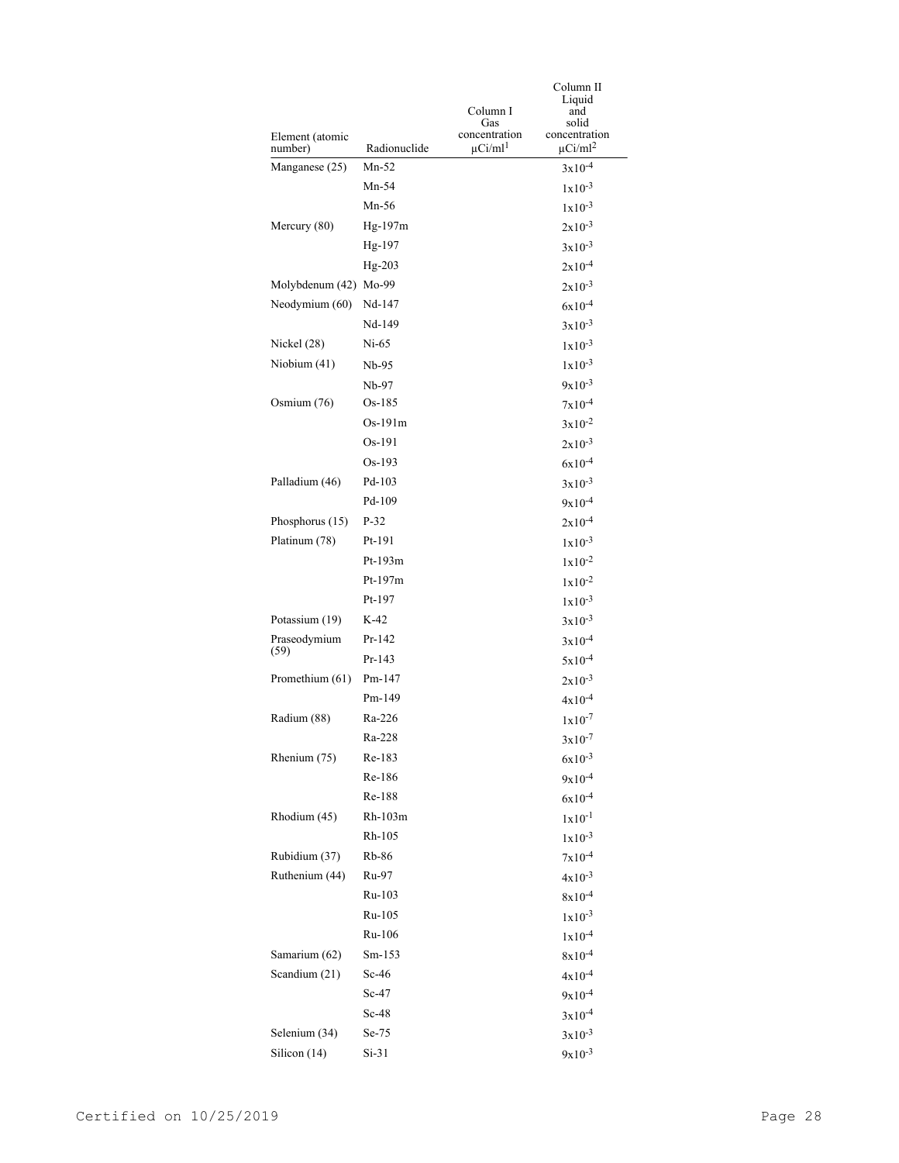|                       |              |                          | Column II                |
|-----------------------|--------------|--------------------------|--------------------------|
|                       |              | Column I                 | Liquid<br>and            |
| Element (atomic       |              | Gas<br>concentration     | solid<br>concentration   |
| number)               | Radionuclide | $\mu$ Ci/ml <sup>1</sup> | $\mu$ Ci/ml <sup>2</sup> |
| Manganese (25)        | $Mn-52$      |                          | $3x10^{-4}$              |
|                       | $Mn-54$      |                          | $1x10^{-3}$              |
|                       | Mn-56        |                          | $1x10^{-3}$              |
| Mercury (80)          | Hg-197m      |                          | $2x10^{-3}$              |
|                       | Hg-197       |                          | $3x10^{-3}$              |
|                       | $Hg-203$     |                          | $2x10^{-4}$              |
| Molybdenum (42) Mo-99 |              |                          | $2x10^{-3}$              |
| Neodymium (60)        | Nd-147       |                          | $6x10^{-4}$              |
|                       | Nd-149       |                          | $3x10^{-3}$              |
| Nickel $(28)$         | $Ni-65$      |                          | $1x10^{-3}$              |
| Niobium (41)          | Nb-95        |                          | $1x10^{-3}$              |
|                       | Nb-97        |                          | $9x10^{-3}$              |
| Osmium $(76)$         | Os-185       |                          | $7x10^{-4}$              |
|                       | $Os-191m$    |                          | $3x10^{-2}$              |
|                       | $Os-191$     |                          | $2x10^{-3}$              |
|                       | $Os-193$     |                          | $6x10^{-4}$              |
| Palladium (46)        | Pd-103       |                          | $3x10^{-3}$              |
|                       | Pd-109       |                          | $9x10^{-4}$              |
| Phosphorus (15)       | $P-32$       |                          | $2x10^{-4}$              |
| Platinum (78)         | Pt-191       |                          | $1x10^{-3}$              |
|                       | Pt-193m      |                          | $1x10^{-2}$              |
|                       | Pt-197m      |                          | $1x10^{-2}$              |
|                       | Pt-197       |                          | $1x10^{-3}$              |
| Potassium (19)        | K-42         |                          | $3x10^{-3}$              |
| Praseodymium          | Pr-142       |                          | $3x10^{-4}$              |
| (59)                  | Pr-143       |                          | $5x10^{-4}$              |
| Promethium (61)       | Pm-147       |                          | $2x10^{-3}$              |
|                       | Pm-149       |                          | $4x10^{-4}$              |
| Radium (88)           | Ra-226       |                          | $1x10^{-7}$              |
|                       | Ra-228       |                          | $3x10^{-7}$              |
| Rhenium (75)          | Re-183       |                          | $6x10^{-3}$              |
|                       | Re-186       |                          | $9x10^{-4}$              |
|                       | Re-188       |                          | $6x10^{-4}$              |
| Rhodium (45)          | Rh-103m      |                          | $1x10^{-1}$              |
|                       | Rh-105       |                          | $1x10^{-3}$              |
| Rubidium (37)         | Rb-86        |                          | $7x10^{-4}$              |
| Ruthenium (44)        | Ru-97        |                          | $4x10^{-3}$              |
|                       | Ru-103       |                          | $8x10^{-4}$              |
|                       | Ru-105       |                          | $1x10^{-3}$              |
|                       | Ru-106       |                          | $1x10^{-4}$              |
| Samarium (62)         | Sm-153       |                          | $8x10^{-4}$              |
| Scandium (21)         | $Sc-46$      |                          | $4x10^{-4}$              |
|                       | $Sc-47$      |                          | $9x10^{-4}$              |
|                       | $Sc-48$      |                          | $3x10^{-4}$              |
| Selenium (34)         | $Se-75$      |                          | $3x10^{-3}$              |
| Silicon (14)          | $Si-31$      |                          | $9x10^{-3}$              |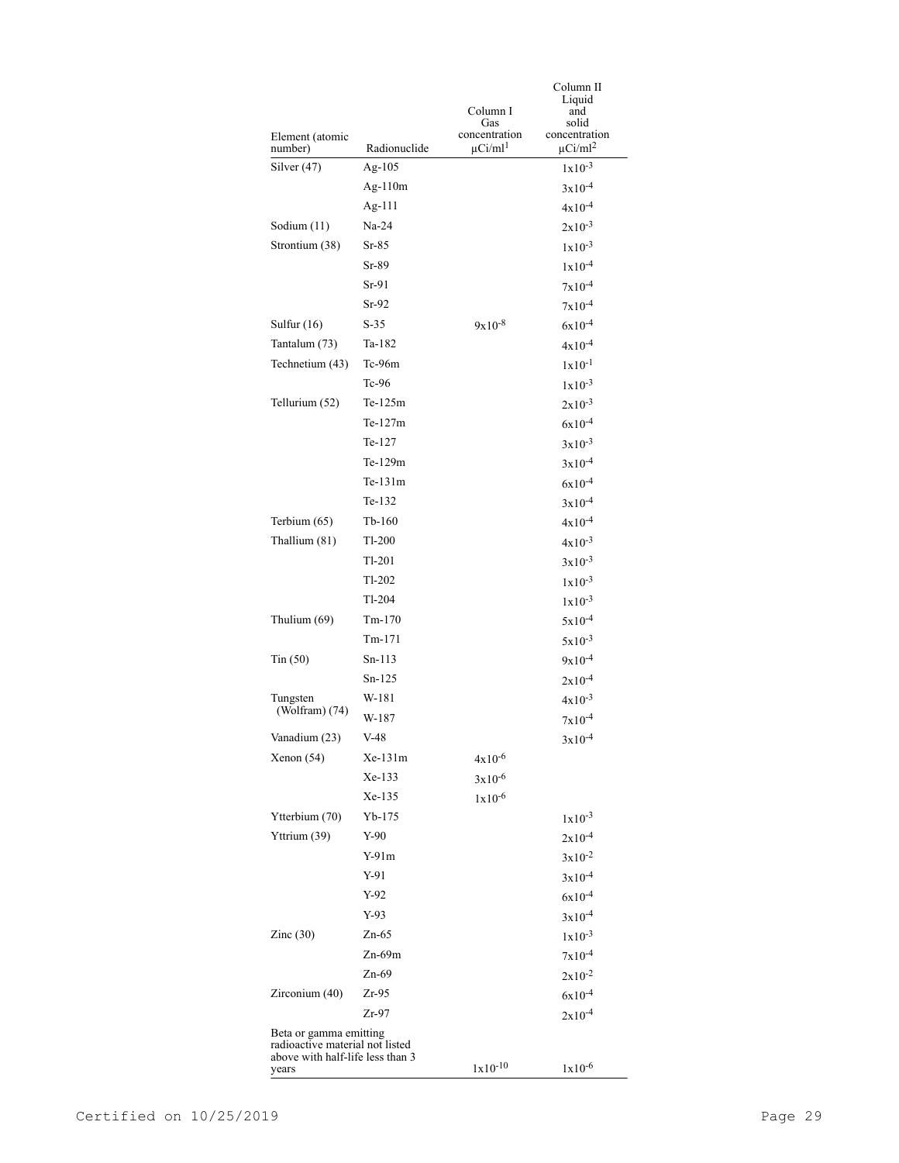|                                           |                                                           |                          | Column II<br>Liquid      |  |
|-------------------------------------------|-----------------------------------------------------------|--------------------------|--------------------------|--|
|                                           |                                                           | Column I                 | and                      |  |
| Element (atomic                           |                                                           | Gas<br>concentration     | solid<br>concentration   |  |
| number)                                   | Radionuclide                                              | $\mu$ Ci/ml <sup>1</sup> | $\mu$ Ci/ml <sup>2</sup> |  |
| Silver (47)                               | Ag- $105$                                                 |                          | $1x10^{-3}$              |  |
|                                           | Ag- $110m$                                                |                          | $3x10^{-4}$              |  |
|                                           | Ag-111                                                    |                          | $4x10^{-4}$              |  |
| Sodium (11)                               | Na-24                                                     |                          | $2x10^{-3}$              |  |
| Strontium (38)                            | $Sr-85$                                                   |                          | $1x10^{-3}$              |  |
|                                           | $Sr-89$                                                   |                          | $1x10^{-4}$              |  |
|                                           | Sr-91                                                     |                          | $7x10^{-4}$              |  |
|                                           | $Sr-92$                                                   |                          | $7x10^{-4}$              |  |
| Sulfur $(16)$                             | $S-35$                                                    | $9x10^{-8}$              | $6x10^{-4}$              |  |
| Tantalum (73)                             | Ta-182                                                    |                          | $4x10^{-4}$              |  |
| Technetium (43)                           | $Tc-96m$                                                  |                          | $1x10^{-1}$              |  |
|                                           | $Tc-96$                                                   |                          | $1x10^{-3}$              |  |
| Tellurium (52)                            | $Te-125m$                                                 |                          | $2x10^{-3}$              |  |
|                                           | $Te-127m$                                                 |                          | $6x10^{-4}$              |  |
|                                           | Te-127                                                    |                          | $3x10^{-3}$              |  |
|                                           | Te-129m                                                   |                          | $3x10^{-4}$              |  |
|                                           | Te-131m                                                   |                          | $6x10^{-4}$              |  |
|                                           | Te-132                                                    |                          | $3x10^{-4}$              |  |
| Terbium (65)                              | Tb-160                                                    |                          | $4x10^{-4}$              |  |
| Thallium (81)                             | Tl-200                                                    |                          | $4x10^{-3}$              |  |
|                                           | Tl-201                                                    |                          | $3x10^{-3}$              |  |
|                                           | Tl-202                                                    |                          | $1x10^{-3}$              |  |
|                                           | Tl-204                                                    |                          | $1x10^{-3}$              |  |
| Thulium (69)                              | $Tm-170$                                                  |                          | $5x10^{-4}$              |  |
|                                           | Tm-171                                                    |                          | $5x10^{-3}$              |  |
| $T_{\text{in}}(50)$                       | $Sn-113$                                                  |                          | $9x10^{-4}$              |  |
|                                           | Sn-125                                                    |                          | $2x10^{-4}$              |  |
| Tungsten                                  | W-181                                                     |                          | $4x10^{-3}$              |  |
| (Wolfram) (74)                            | W-187                                                     |                          | $7x10^{-4}$              |  |
| Vanadium (23)                             | V-48                                                      |                          | $3x10^{-4}$              |  |
| Xenon (54)                                | $Xe-131m$                                                 | $4x10^{-6}$              |                          |  |
|                                           | Xe-133                                                    | $3x10^{-6}$              |                          |  |
|                                           | Xe-135                                                    | $1x10^{-6}$              |                          |  |
| Ytterbium (70)                            | Yb-175                                                    |                          | $1x10^{-3}$              |  |
| Yttrium (39)                              | Y-90                                                      |                          | $2x10^{-4}$              |  |
|                                           | Y-91m                                                     |                          | $3x10^{-2}$              |  |
|                                           | $Y-91$                                                    |                          | $3x10^{-4}$              |  |
|                                           | Y-92                                                      |                          | $6x10^{-4}$              |  |
|                                           | Y-93                                                      |                          | $3x10^{-4}$              |  |
| Zinc $(30)$                               | $Zn-65$                                                   |                          | $1x10^{-3}$              |  |
|                                           | $Zn-69m$                                                  |                          | $7x10^{-4}$              |  |
|                                           | $Zn-69$                                                   |                          | $2x10^{-2}$              |  |
| Zirconium (40)                            | Zr-95                                                     |                          | $6x10^{-4}$              |  |
|                                           | Zr-97                                                     |                          | $2x10^{-4}$              |  |
|                                           | Beta or gamma emitting<br>radioactive material not listed |                          |                          |  |
| above with half-life less than 3<br>years |                                                           | $1x10^{-10}$             | $1x10^{-6}$              |  |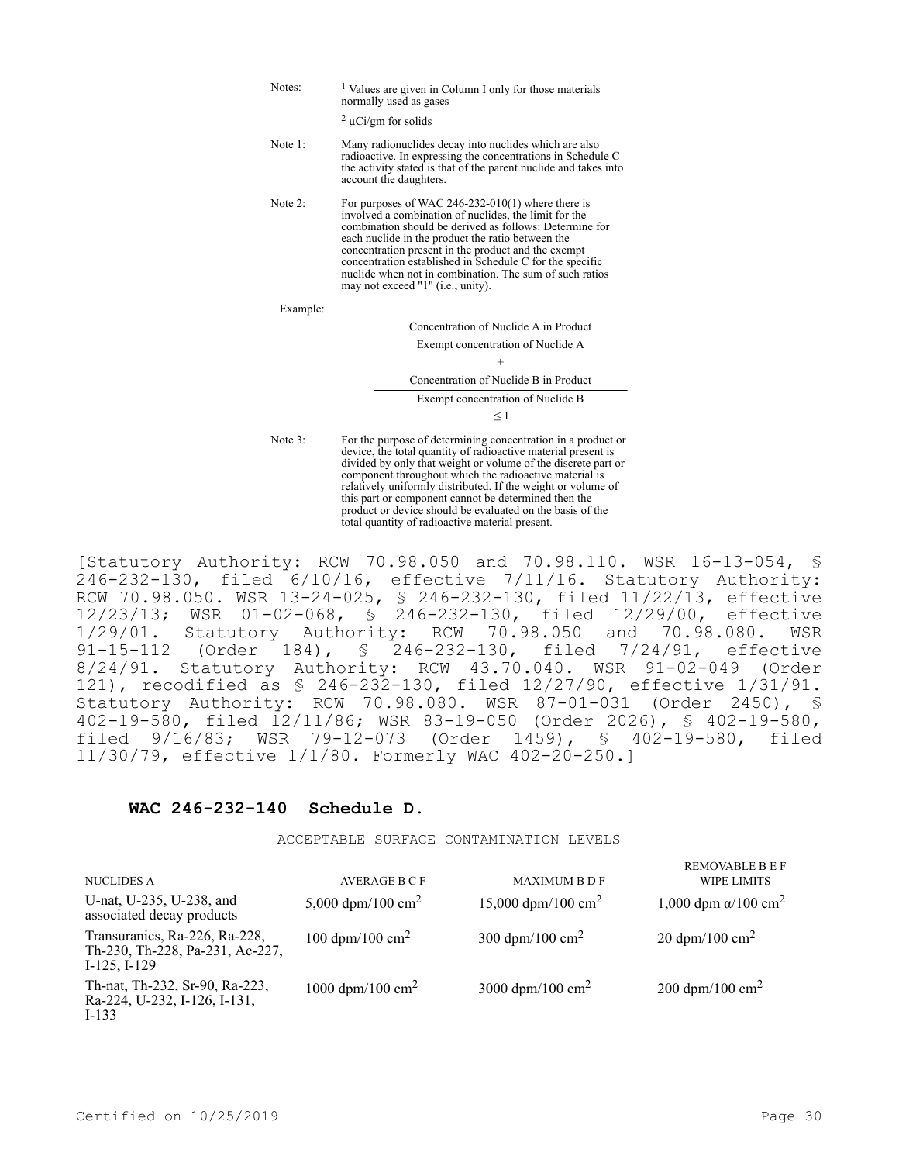| Notes:   | <sup>1</sup> Values are given in Column I only for those materials<br>normally used as gases<br>$2 \mu$ Ci/gm for solids                                                                                                                                                                                                                                                                                                                      |  |  |  |  |
|----------|-----------------------------------------------------------------------------------------------------------------------------------------------------------------------------------------------------------------------------------------------------------------------------------------------------------------------------------------------------------------------------------------------------------------------------------------------|--|--|--|--|
| Note 1:  | Many radionuclides decay into nuclides which are also<br>radioactive. In expressing the concentrations in Schedule C<br>the activity stated is that of the parent nuclide and takes into<br>account the daughters.                                                                                                                                                                                                                            |  |  |  |  |
| Note 2:  | For purposes of WAC 246-232-010(1) where there is<br>involved a combination of nuclides, the limit for the<br>combination should be derived as follows: Determine for<br>each nuclide in the product the ratio between the<br>concentration present in the product and the exempt<br>concentration established in Schedule C for the specific<br>nuclide when not in combination. The sum of such ratios<br>may not exceed "1" (i.e., unity). |  |  |  |  |
| Example: |                                                                                                                                                                                                                                                                                                                                                                                                                                               |  |  |  |  |
|          | Concentration of Nuclide A in Product                                                                                                                                                                                                                                                                                                                                                                                                         |  |  |  |  |
|          | Exempt concentration of Nuclide A                                                                                                                                                                                                                                                                                                                                                                                                             |  |  |  |  |
|          | $^+$                                                                                                                                                                                                                                                                                                                                                                                                                                          |  |  |  |  |
|          | Concentration of Nuclide B in Product                                                                                                                                                                                                                                                                                                                                                                                                         |  |  |  |  |
|          | Exempt concentration of Nuclide B                                                                                                                                                                                                                                                                                                                                                                                                             |  |  |  |  |
|          | $\leq$ 1                                                                                                                                                                                                                                                                                                                                                                                                                                      |  |  |  |  |
| Note 3:  | For the purpose of determining concentration in a product or<br>device, the total quantity of radioactive material present is<br>divided by only that weight or volume of the discrete part or<br>component throughout which the radioactive material is<br>relatively uniformly distributed. If the weight or volume of<br>this part or component cannot be determined then the<br>product or device should be evaluated on the basis of the |  |  |  |  |

[Statutory Authority: RCW 70.98.050 and 70.98.110. WSR 16-13-054, § 246-232-130, filed 6/10/16, effective 7/11/16. Statutory Authority: RCW 70.98.050. WSR 13-24-025, § 246-232-130, filed 11/22/13, effective 12/23/13; WSR 01-02-068, § 246-232-130, filed 12/29/00, effective 1/29/01. Statutory Authority: RCW 70.98.050 and 70.98.080. WSR 91-15-112 (Order 184), § 246-232-130, filed 7/24/91, effective 8/24/91. Statutory Authority: RCW 43.70.040. WSR 91-02-049 (Order 121), recodified as § 246-232-130, filed 12/27/90, effective 1/31/91. Statutory Authority: RCW 70.98.080. WSR 87-01-031 (Order 2450), § 402-19-580, filed 12/11/86; WSR 83-19-050 (Order 2026), § 402-19-580, filed 9/16/83; WSR 79-12-073 (Order 1459), § 402-19-580, filed 11/30/79, effective 1/1/80. Formerly WAC 402-20-250.]

total quantity of radioactive material present.

## **WAC 246-232-140 Schedule D.**

ACCEPTABLE SURFACE CONTAMINATION LEVELS

| <b>NUCLIDES A</b>                                                                     | <b>AVERAGE B C F</b>          | <b>MAXIMUM B D F</b>           | <b>REMOVABLE B E F</b><br><b>WIPE LIMITS</b> |
|---------------------------------------------------------------------------------------|-------------------------------|--------------------------------|----------------------------------------------|
| U-nat, U-235, U-238, and<br>associated decay products                                 | 5,000 dpm/100 cm <sup>2</sup> | 15,000 dpm/100 cm <sup>2</sup> | 1,000 dpm $\alpha$ /100 cm <sup>2</sup>      |
| Transuranics, Ra-226, Ra-228,<br>Th-230, Th-228, Pa-231, Ac-227,<br>$I-125$ , $I-129$ | 100 dpm/100 cm <sup>2</sup>   | 300 dpm/100 cm <sup>2</sup>    | 20 dpm/100 cm <sup>2</sup>                   |
| Th-nat, Th-232, Sr-90, Ra-223,<br>Ra-224, U-232, I-126, I-131,<br>$I-133$             | 1000 dpm/100 cm <sup>2</sup>  | 3000 dpm/100 cm <sup>2</sup>   | 200 dpm/100 cm <sup>2</sup>                  |